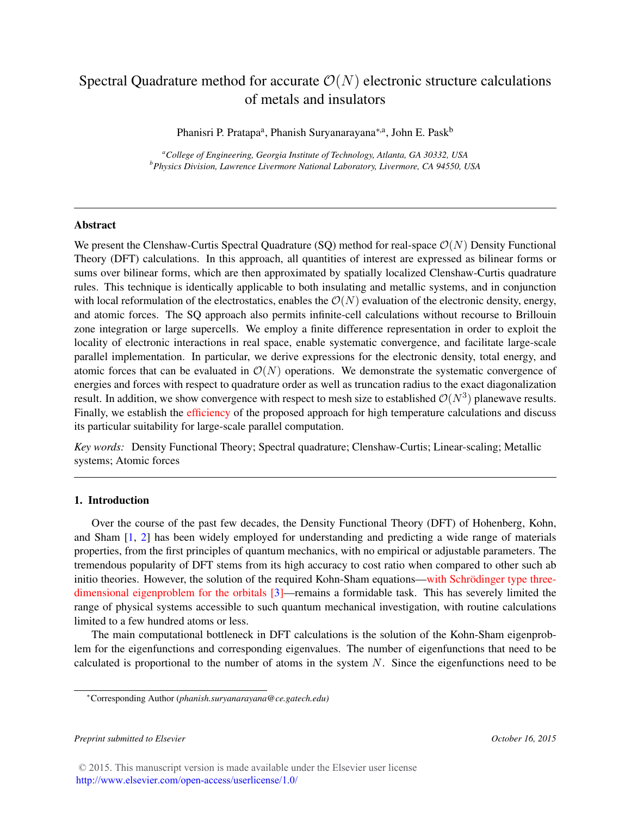# Spectral Quadrature method for accurate  $\mathcal{O}(N)$  electronic structure calculations of metals and insulators

Phanisri P. Pratapa<sup>a</sup>, Phanish Suryanarayana<sup>∗,a</sup>, John E. Pask<sup>b</sup>

*<sup>a</sup>College of Engineering, Georgia Institute of Technology, Atlanta, GA 30332, USA <sup>b</sup>Physics Division, Lawrence Livermore National Laboratory, Livermore, CA 94550, USA*

# Abstract

We present the Clenshaw-Curtis Spectral Quadrature (SQ) method for real-space  $\mathcal{O}(N)$  Density Functional Theory (DFT) calculations. In this approach, all quantities of interest are expressed as bilinear forms or sums over bilinear forms, which are then approximated by spatially localized Clenshaw-Curtis quadrature rules. This technique is identically applicable to both insulating and metallic systems, and in conjunction with local reformulation of the electrostatics, enables the  $\mathcal{O}(N)$  evaluation of the electronic density, energy, and atomic forces. The SQ approach also permits infinite-cell calculations without recourse to Brillouin zone integration or large supercells. We employ a finite difference representation in order to exploit the locality of electronic interactions in real space, enable systematic convergence, and facilitate large-scale parallel implementation. In particular, we derive expressions for the electronic density, total energy, and atomic forces that can be evaluated in  $\mathcal{O}(N)$  operations. We demonstrate the systematic convergence of energies and forces with respect to quadrature order as well as truncation radius to the exact diagonalization result. In addition, we show convergence with respect to mesh size to established  $\mathcal{O}(N^3)$  planewave results. Finally, we establish the efficiency of the proposed approach for high temperature calculations and discuss its particular suitability for large-scale parallel computation.

*Key words:* Density Functional Theory; Spectral quadrature; Clenshaw-Curtis; Linear-scaling; Metallic systems; Atomic forces

# 1. Introduction

Over the course of the past few decades, the Density Functional Theory (DFT) of Hohenberg, Kohn, and Sham [1, 2] has been widely employed for understanding and predicting a wide range of materials properties, from the first principles of quantum mechanics, with no empirical or adjustable parameters. The tremendous popularity of DFT stems from its high accuracy to cost ratio when compared to other such ab initio theories. However, the solution of the required Kohn-Sham equations—with Schrödinger type threedimensional eigenproblem for the orbitals [3]—remains a formidable task. This has severely limited the range of physical systems accessible to such quantum mechanical investigation, with routine calculations limited to a few hundred atoms or less.

The main computational bottleneck in DFT calculations is the solution of the Kohn-Sham eigenproblem for the eigenfunctions and corresponding eigenvalues. The number of eigenfunctions that need to be calculated is proportional to the number of atoms in the system  $N$ . Since the eigenfunctions need to be

<sup>∗</sup>Corresponding Author (*phanish.suryanarayana@ce.gatech.edu)*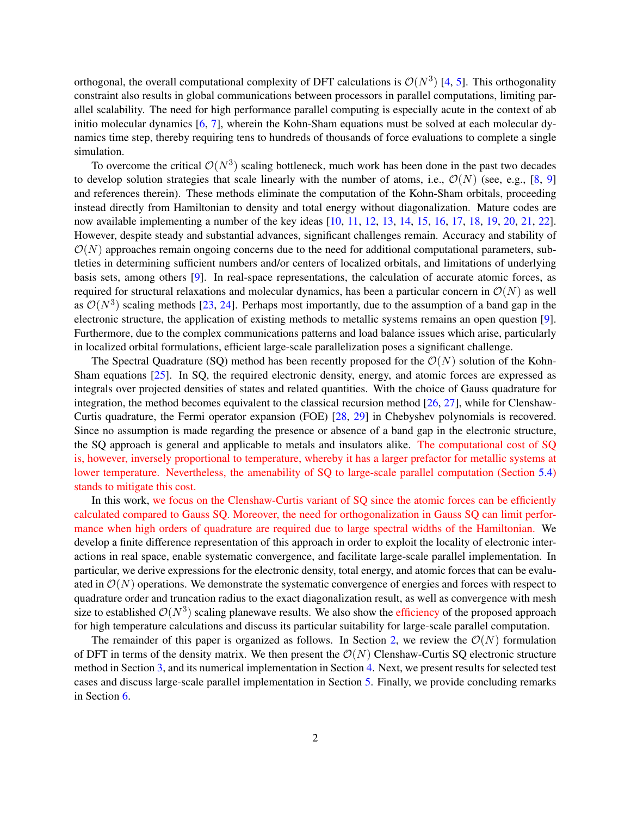orthogonal, the overall computational complexity of DFT calculations is  $\mathcal{O}(N^3)$  [4, 5]. This orthogonality constraint also results in global communications between processors in parallel computations, limiting parallel scalability. The need for high performance parallel computing is especially acute in the context of ab initio molecular dynamics [6, 7], wherein the Kohn-Sham equations must be solved at each molecular dynamics time step, thereby requiring tens to hundreds of thousands of force evaluations to complete a single simulation.

To overcome the critical  $\mathcal{O}(N^3)$  scaling bottleneck, much work has been done in the past two decades to develop solution strategies that scale linearly with the number of atoms, i.e.,  $\mathcal{O}(N)$  (see, e.g., [8, 9] and references therein). These methods eliminate the computation of the Kohn-Sham orbitals, proceeding instead directly from Hamiltonian to density and total energy without diagonalization. Mature codes are now available implementing a number of the key ideas [10, 11, 12, 13, 14, 15, 16, 17, 18, 19, 20, 21, 22]. However, despite steady and substantial advances, significant challenges remain. Accuracy and stability of  $\mathcal{O}(N)$  approaches remain ongoing concerns due to the need for additional computational parameters, subtleties in determining sufficient numbers and/or centers of localized orbitals, and limitations of underlying basis sets, among others [9]. In real-space representations, the calculation of accurate atomic forces, as required for structural relaxations and molecular dynamics, has been a particular concern in  $\mathcal{O}(N)$  as well as  $\mathcal{O}(N^3)$  scaling methods [23, 24]. Perhaps most importantly, due to the assumption of a band gap in the electronic structure, the application of existing methods to metallic systems remains an open question [9]. Furthermore, due to the complex communications patterns and load balance issues which arise, particularly in localized orbital formulations, efficient large-scale parallelization poses a significant challenge.

The Spectral Quadrature (SQ) method has been recently proposed for the  $\mathcal{O}(N)$  solution of the Kohn-Sham equations [25]. In SQ, the required electronic density, energy, and atomic forces are expressed as integrals over projected densities of states and related quantities. With the choice of Gauss quadrature for integration, the method becomes equivalent to the classical recursion method [26, 27], while for Clenshaw-Curtis quadrature, the Fermi operator expansion (FOE) [28, 29] in Chebyshev polynomials is recovered. Since no assumption is made regarding the presence or absence of a band gap in the electronic structure, the SQ approach is general and applicable to metals and insulators alike. The computational cost of SQ is, however, inversely proportional to temperature, whereby it has a larger prefactor for metallic systems at lower temperature. Nevertheless, the amenability of SQ to large-scale parallel computation (Section 5.4) stands to mitigate this cost.

In this work, we focus on the Clenshaw-Curtis variant of SQ since the atomic forces can be efficiently calculated compared to Gauss SQ. Moreover, the need for orthogonalization in Gauss SQ can limit performance when high orders of quadrature are required due to large spectral widths of the Hamiltonian. We develop a finite difference representation of this approach in order to exploit the locality of electronic interactions in real space, enable systematic convergence, and facilitate large-scale parallel implementation. In particular, we derive expressions for the electronic density, total energy, and atomic forces that can be evaluated in  $\mathcal{O}(N)$  operations. We demonstrate the systematic convergence of energies and forces with respect to quadrature order and truncation radius to the exact diagonalization result, as well as convergence with mesh size to established  $\mathcal{O}(N^3)$  scaling planewave results. We also show the efficiency of the proposed approach for high temperature calculations and discuss its particular suitability for large-scale parallel computation.

The remainder of this paper is organized as follows. In Section 2, we review the  $\mathcal{O}(N)$  formulation of DFT in terms of the density matrix. We then present the  $\mathcal{O}(N)$  Clenshaw-Curtis SQ electronic structure method in Section 3, and its numerical implementation in Section 4. Next, we present results for selected test cases and discuss large-scale parallel implementation in Section 5. Finally, we provide concluding remarks in Section 6.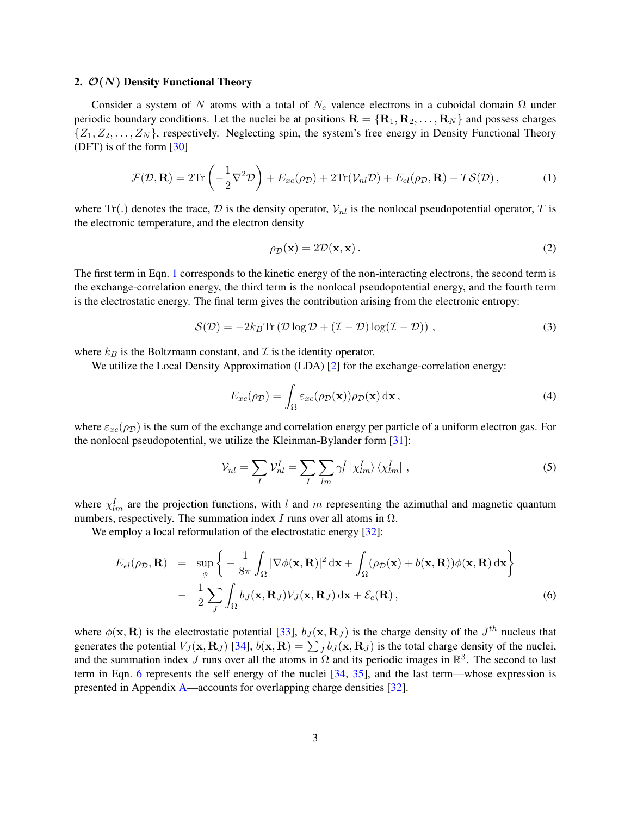### 2.  $\mathcal{O}(N)$  Density Functional Theory

Consider a system of N atoms with a total of  $N_e$  valence electrons in a cuboidal domain  $\Omega$  under periodic boundary conditions. Let the nuclei be at positions  $\mathbf{R} = \{\mathbf{R}_1, \mathbf{R}_2, \dots, \mathbf{R}_N\}$  and possess charges  $\{Z_1, Z_2, \ldots, Z_N\}$ , respectively. Neglecting spin, the system's free energy in Density Functional Theory (DFT) is of the form [30]

$$
\mathcal{F}(\mathcal{D}, \mathbf{R}) = 2\mathrm{Tr}\left(-\frac{1}{2}\nabla^2 \mathcal{D}\right) + E_{xc}(\rho_{\mathcal{D}}) + 2\mathrm{Tr}(\mathcal{V}_{nl}\mathcal{D}) + E_{el}(\rho_{\mathcal{D}}, \mathbf{R}) - T\mathcal{S}(\mathcal{D}),\tag{1}
$$

where Tr(.) denotes the trace, D is the density operator,  $V_{nl}$  is the nonlocal pseudopotential operator, T is the electronic temperature, and the electron density

$$
\rho_{\mathcal{D}}(\mathbf{x}) = 2\mathcal{D}(\mathbf{x}, \mathbf{x}). \tag{2}
$$

The first term in Eqn. 1 corresponds to the kinetic energy of the non-interacting electrons, the second term is the exchange-correlation energy, the third term is the nonlocal pseudopotential energy, and the fourth term is the electrostatic energy. The final term gives the contribution arising from the electronic entropy:

$$
S(D) = -2k_B \text{Tr} (D \log D + (I - D) \log (I - D)), \qquad (3)
$$

where  $k_B$  is the Boltzmann constant, and  $\mathcal I$  is the identity operator.

We utilize the Local Density Approximation (LDA) [2] for the exchange-correlation energy:

$$
E_{xc}(\rho_D) = \int_{\Omega} \varepsilon_{xc}(\rho_D(\mathbf{x})) \rho_D(\mathbf{x}) \, \mathrm{d}\mathbf{x}, \qquad (4)
$$

where  $\varepsilon_{xc}(\rho_D)$  is the sum of the exchange and correlation energy per particle of a uniform electron gas. For the nonlocal pseudopotential, we utilize the Kleinman-Bylander form [31]:

$$
\mathcal{V}_{nl} = \sum_{I} \mathcal{V}_{nl}^{I} = \sum_{I} \sum_{lm} \gamma_{l}^{I} |\chi_{lm}^{I}\rangle \langle \chi_{lm}^{I}| \,, \tag{5}
$$

where  $\chi_{lm}^I$  are the projection functions, with l and m representing the azimuthal and magnetic quantum numbers, respectively. The summation index I runs over all atoms in  $\Omega$ .

We employ a local reformulation of the electrostatic energy [32]:

$$
E_{el}(\rho_{\mathcal{D}}, \mathbf{R}) = \sup_{\phi} \left\{ -\frac{1}{8\pi} \int_{\Omega} |\nabla \phi(\mathbf{x}, \mathbf{R})|^2 d\mathbf{x} + \int_{\Omega} (\rho_{\mathcal{D}}(\mathbf{x}) + b(\mathbf{x}, \mathbf{R})) \phi(\mathbf{x}, \mathbf{R}) d\mathbf{x} \right\}
$$

$$
- \frac{1}{2} \sum_{J} \int_{\Omega} b_{J}(\mathbf{x}, \mathbf{R}_{J}) V_{J}(\mathbf{x}, \mathbf{R}_{J}) d\mathbf{x} + \mathcal{E}_{c}(\mathbf{R}), \tag{6}
$$

where  $\phi(\mathbf{x}, \mathbf{R})$  is the electrostatic potential [33],  $b_J(\mathbf{x}, \mathbf{R}_J)$  is the charge density of the  $J^{th}$  nucleus that generates the potential  $V_J(\mathbf{x}, \mathbf{R}_J)$  [34],  $b(\mathbf{x}, \mathbf{R}) = \sum_J b_J(\mathbf{x}, \mathbf{R}_J)$  is the total charge density of the nuclei, and the summation index J runs over all the atoms in  $\Omega$  and its periodic images in  $\mathbb{R}^3$ . The second to last term in Eqn. 6 represents the self energy of the nuclei [34, 35], and the last term—whose expression is presented in Appendix A—accounts for overlapping charge densities [32].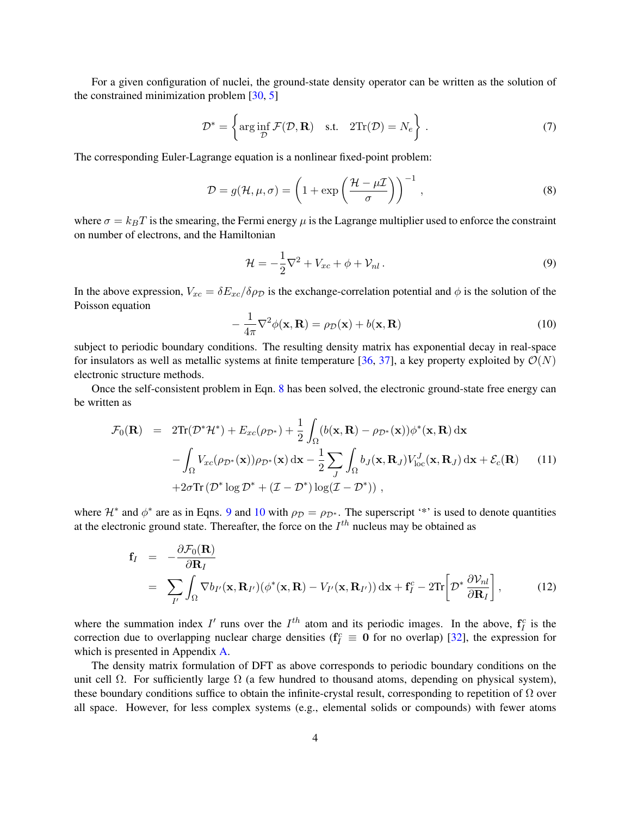For a given configuration of nuclei, the ground-state density operator can be written as the solution of the constrained minimization problem  $[30, 5]$ 

$$
\mathcal{D}^* = \left\{ \arg\inf_{\mathcal{D}} \mathcal{F}(\mathcal{D}, \mathbf{R}) \quad \text{s.t.} \quad 2\text{Tr}(\mathcal{D}) = N_e \right\} \,. \tag{7}
$$

The corresponding Euler-Lagrange equation is a nonlinear fixed-point problem:

$$
\mathcal{D} = g(\mathcal{H}, \mu, \sigma) = \left(1 + \exp\left(\frac{\mathcal{H} - \mu\mathcal{I}}{\sigma}\right)\right)^{-1},\tag{8}
$$

where  $\sigma = k_B T$  is the smearing, the Fermi energy  $\mu$  is the Lagrange multiplier used to enforce the constraint on number of electrons, and the Hamiltonian

$$
\mathcal{H} = -\frac{1}{2}\nabla^2 + V_{xc} + \phi + V_{nl} \,. \tag{9}
$$

In the above expression,  $V_{xc} = \delta E_{xc}/\delta \rho_D$  is the exchange-correlation potential and  $\phi$  is the solution of the Poisson equation

$$
-\frac{1}{4\pi}\nabla^2\phi(\mathbf{x},\mathbf{R}) = \rho_{\mathcal{D}}(\mathbf{x}) + b(\mathbf{x},\mathbf{R})
$$
\n(10)

subject to periodic boundary conditions. The resulting density matrix has exponential decay in real-space for insulators as well as metallic systems at finite temperature [36, 37], a key property exploited by  $\mathcal{O}(N)$ electronic structure methods.

Once the self-consistent problem in Eqn. 8 has been solved, the electronic ground-state free energy can be written as

$$
\mathcal{F}_0(\mathbf{R}) = 2\text{Tr}(\mathcal{D}^*\mathcal{H}^*) + E_{xc}(\rho_{\mathcal{D}^*}) + \frac{1}{2} \int_{\Omega} (b(\mathbf{x}, \mathbf{R}) - \rho_{\mathcal{D}^*}(\mathbf{x})) \phi^*(\mathbf{x}, \mathbf{R}) d\mathbf{x} \n- \int_{\Omega} V_{xc}(\rho_{\mathcal{D}^*}(\mathbf{x})) \rho_{\mathcal{D}^*}(\mathbf{x}) d\mathbf{x} - \frac{1}{2} \sum_{J} \int_{\Omega} b_J(\mathbf{x}, \mathbf{R}_J) V_{\text{loc}}^{J}(\mathbf{x}, \mathbf{R}_J) d\mathbf{x} + \mathcal{E}_c(\mathbf{R}) \qquad (11) \n+ 2\sigma \text{Tr}(\mathcal{D}^* \log \mathcal{D}^* + (\mathcal{I} - \mathcal{D}^*) \log(\mathcal{I} - \mathcal{D}^*)) ,
$$

where  $\mathcal{H}^*$  and  $\phi^*$  are as in Eqns. 9 and 10 with  $\rho_{\mathcal{D}} = \rho_{\mathcal{D}^*}$ . The superscript '\*' is used to denote quantities at the electronic ground state. Thereafter, the force on the  $I^{th}$  nucleus may be obtained as

$$
\mathbf{f}_{I} = -\frac{\partial \mathcal{F}_{0}(\mathbf{R})}{\partial \mathbf{R}_{I}} \n= \sum_{I'} \int_{\Omega} \nabla b_{I'}(\mathbf{x}, \mathbf{R}_{I'}) (\phi^*(\mathbf{x}, \mathbf{R}) - V_{I'}(\mathbf{x}, \mathbf{R}_{I'})) \, d\mathbf{x} + \mathbf{f}_{I}^{c} - 2 \text{Tr} \left[ \mathcal{D}^* \frac{\partial \mathcal{V}_{nl}}{\partial \mathbf{R}_{I}} \right],
$$
\n(12)

where the summation index  $I'$  runs over the  $I^{th}$  atom and its periodic images. In the above,  $f_I^c$  is the correction due to overlapping nuclear charge densities ( $f_I^c \equiv 0$  for no overlap) [32], the expression for which is presented in Appendix A.

The density matrix formulation of DFT as above corresponds to periodic boundary conditions on the unit cell  $\Omega$ . For sufficiently large  $\Omega$  (a few hundred to thousand atoms, depending on physical system), these boundary conditions suffice to obtain the infinite-crystal result, corresponding to repetition of  $\Omega$  over all space. However, for less complex systems (e.g., elemental solids or compounds) with fewer atoms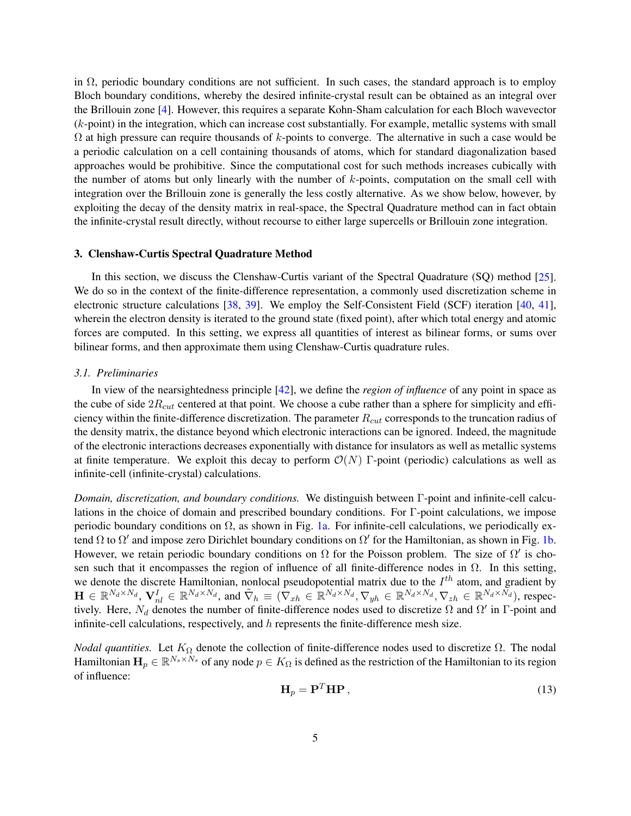in  $\Omega$ , periodic boundary conditions are not sufficient. In such cases, the standard approach is to employ Bloch boundary conditions, whereby the desired infinite-crystal result can be obtained as an integral over the Brillouin zone [4]. However, this requires a separate Kohn-Sham calculation for each Bloch wavevector (k-point) in the integration, which can increase cost substantially. For example, metallic systems with small  $\Omega$  at high pressure can require thousands of k-points to converge. The alternative in such a case would be a periodic calculation on a cell containing thousands of atoms, which for standard diagonalization based approaches would be prohibitive. Since the computational cost for such methods increases cubically with the number of atoms but only linearly with the number of k-points, computation on the small cell with integration over the Brillouin zone is generally the less costly alternative. As we show below, however, by exploiting the decay of the density matrix in real-space, the Spectral Quadrature method can in fact obtain the infinite-crystal result directly, without recourse to either large supercells or Brillouin zone integration.

## 3. Clenshaw-Curtis Spectral Quadrature Method

In this section, we discuss the Clenshaw-Curtis variant of the Spectral Quadrature (SQ) method [25]. We do so in the context of the finite-difference representation, a commonly used discretization scheme in electronic structure calculations [38, 39]. We employ the Self-Consistent Field (SCF) iteration [40, 41], wherein the electron density is iterated to the ground state (fixed point), after which total energy and atomic forces are computed. In this setting, we express all quantities of interest as bilinear forms, or sums over bilinear forms, and then approximate them using Clenshaw-Curtis quadrature rules.

# *3.1. Preliminaries*

In view of the nearsightedness principle [42], we define the *region of influence* of any point in space as the cube of side  $2R_{cut}$  centered at that point. We choose a cube rather than a sphere for simplicity and efficiency within the finite-difference discretization. The parameter  $R_{cut}$  corresponds to the truncation radius of the density matrix, the distance beyond which electronic interactions can be ignored. Indeed, the magnitude of the electronic interactions decreases exponentially with distance for insulators as well as metallic systems at finite temperature. We exploit this decay to perform  $\mathcal{O}(N)$  Γ-point (periodic) calculations as well as infinite-cell (infinite-crystal) calculations.

*Domain, discretization, and boundary conditions.* We distinguish between Γ-point and infinite-cell calculations in the choice of domain and prescribed boundary conditions. For Γ-point calculations, we impose periodic boundary conditions on  $\Omega$ , as shown in Fig. 1a. For infinite-cell calculations, we periodically extend Ω to  $Ω'$  and impose zero Dirichlet boundary conditions on  $Ω'$  for the Hamiltonian, as shown in Fig. 1b. However, we retain periodic boundary conditions on  $\Omega$  for the Poisson problem. The size of  $\Omega'$  is chosen such that it encompasses the region of influence of all finite-difference nodes in  $\Omega$ . In this setting, we denote the discrete Hamiltonian, nonlocal pseudopotential matrix due to the  $I^{th}$  atom, and gradient by  $\mathbf{H} \in \mathbb{R}^{N_d \times N_d}, \mathbf{V}_{nl}^I \in \mathbb{R}^{N_d \times N_d}, \text{ and } \tilde{\nabla}_h \equiv (\tilde{\nabla}_{xh} \in \mathbb{R}^{N_d \times N_d}, \nabla_{yh} \in \mathbb{R}^{N_d \times N_d}, \nabla_{zh} \in \mathbb{R}^{N_d \times \tilde{N_d}}), \text{ respec$ tively. Here,  $N_d$  denotes the number of finite-difference nodes used to discretize Ω and  $\Omega'$  in Γ-point and infinite-cell calculations, respectively, and  $h$  represents the finite-difference mesh size.

*Nodal quantities.* Let  $K_{\Omega}$  denote the collection of finite-difference nodes used to discretize  $\Omega$ . The nodal Hamiltonian  $\mathbf{H}_p \in \mathbb{R}^{N_s \times N_s}$  of any node  $p \in K_{\Omega}$  is defined as the restriction of the Hamiltonian to its region of influence:

$$
\mathbf{H}_p = \mathbf{P}^T \mathbf{H} \mathbf{P},\tag{13}
$$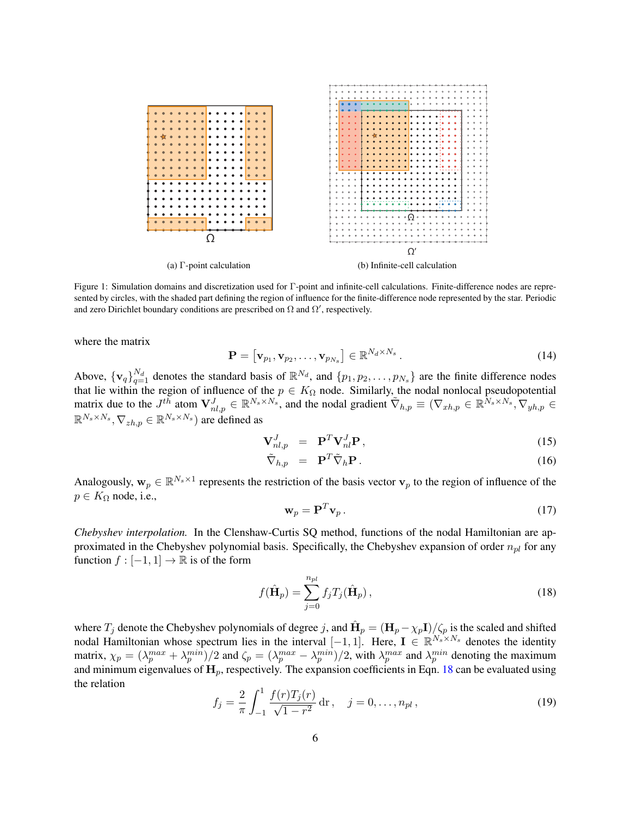

Figure 1: Simulation domains and discretization used for Γ-point and infinite-cell calculations. Finite-difference nodes are represented by circles, with the shaded part defining the region of influence for the finite-difference node represented by the star. Periodic and zero Dirichlet boundary conditions are prescribed on  $\Omega$  and  $\Omega'$ , respectively.

where the matrix

$$
\mathbf{P} = [\mathbf{v}_{p_1}, \mathbf{v}_{p_2}, \dots, \mathbf{v}_{p_{N_s}}] \in \mathbb{R}^{N_d \times N_s} .
$$
 (14)

Above,  $\{v_q\}_{q=1}^{N_d}$  denotes the standard basis of  $\mathbb{R}^{N_d}$ , and  $\{p_1, p_2, \ldots, p_{N_s}\}\$  are the finite difference nodes that lie within the region of influence of the  $p \in K_{\Omega}$  node. Similarly, the nodal nonlocal pseudopotential matrix due to the  $J^{th}$  atom  $\mathbf{V}_{nl,p}^{J} \in \mathbb{R}^{N_s \times N_s}$ , and the nodal gradient  $\tilde{\nabla}_{h,p} \equiv (\nabla_{xh,p} \in \mathbb{R}^{N_s \times N_s}, \nabla_{yh,p} \in \mathbb{R}^{N_s \times N_s}$  $\mathbb{R}^{N_s \times N_s}, \nabla_{zh,p} \in \mathbb{R}^{N_s \times N_s}$  are defined as

$$
\mathbf{V}_{nl,p}^{J} = \mathbf{P}^{T} \mathbf{V}_{nl}^{J} \mathbf{P},\tag{15}
$$

$$
\tilde{\nabla}_{h,p} = \mathbf{P}^T \tilde{\nabla}_h \mathbf{P} \,. \tag{16}
$$

Analogously,  $w_p \in \mathbb{R}^{N_s \times 1}$  represents the restriction of the basis vector  $v_p$  to the region of influence of the  $p \in K_{\Omega}$  node, i.e.,

$$
\mathbf{w}_p = \mathbf{P}^T \mathbf{v}_p. \tag{17}
$$

*Chebyshev interpolation.* In the Clenshaw-Curtis SQ method, functions of the nodal Hamiltonian are approximated in the Chebyshev polynomial basis. Specifically, the Chebyshev expansion of order  $n_{pl}$  for any function  $f : [-1, 1] \rightarrow \mathbb{R}$  is of the form

$$
f(\hat{\mathbf{H}}_p) = \sum_{j=0}^{n_{pl}} f_j T_j(\hat{\mathbf{H}}_p),
$$
\n(18)

where  $T_j$  denote the Chebyshev polynomials of degree j, and  $\hat{H}_p = (H_p - \chi_p I)/\zeta_p$  is the scaled and shifted nodal Hamiltonian whose spectrum lies in the interval  $[-1, 1]$ . Here,  $I \in \mathbb{R}^{N_s \times N_s}$  denotes the identity matrix,  $\chi_p = (\lambda_p^{max} + \lambda_p^{min})/2$  and  $\zeta_p = (\lambda_p^{max} - \lambda_p^{min})/2$ , with  $\lambda_p^{max}$  and  $\lambda_p^{min}$  denoting the maximum and minimum eigenvalues of  $H_p$ , respectively. The expansion coefficients in Eqn. 18 can be evaluated using the relation

$$
f_j = \frac{2}{\pi} \int_{-1}^{1} \frac{f(r)T_j(r)}{\sqrt{1 - r^2}} dr, \quad j = 0, \dots, n_{pl},
$$
 (19)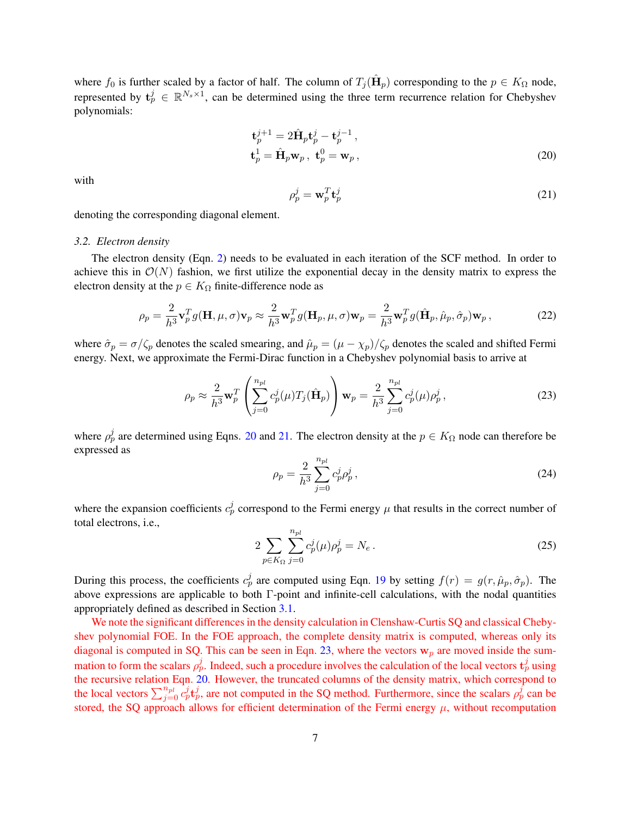where  $f_0$  is further scaled by a factor of half. The column of  $T_j(\hat{H}_p)$  corresponding to the  $p \in K_{\Omega}$  node, represented by  $\mathbf{t}_p^j \in \mathbb{R}^{N_s \times 1}$ , can be determined using the three term recurrence relation for Chebyshev polynomials:

$$
\mathbf{t}_{p}^{j+1} = 2\hat{\mathbf{H}}_{p}\mathbf{t}_{p}^{j} - \mathbf{t}_{p}^{j-1},
$$
  

$$
\mathbf{t}_{p}^{1} = \hat{\mathbf{H}}_{p}\mathbf{w}_{p}, \mathbf{t}_{p}^{0} = \mathbf{w}_{p},
$$
 (20)

with

$$
\rho_p^j = \mathbf{w}_p^T \mathbf{t}_p^j \tag{21}
$$

denoting the corresponding diagonal element.

#### *3.2. Electron density*

The electron density (Eqn. 2) needs to be evaluated in each iteration of the SCF method. In order to achieve this in  $\mathcal{O}(N)$  fashion, we first utilize the exponential decay in the density matrix to express the electron density at the  $p \in K_{\Omega}$  finite-difference node as

$$
\rho_p = \frac{2}{h^3} \mathbf{v}_p^T g(\mathbf{H}, \mu, \sigma) \mathbf{v}_p \approx \frac{2}{h^3} \mathbf{w}_p^T g(\mathbf{H}_p, \mu, \sigma) \mathbf{w}_p = \frac{2}{h^3} \mathbf{w}_p^T g(\hat{\mathbf{H}}_p, \hat{\mu}_p, \hat{\sigma}_p) \mathbf{w}_p, \tag{22}
$$

where  $\hat{\sigma}_p = \sigma/\zeta_p$  denotes the scaled smearing, and  $\hat{\mu}_p = (\mu - \chi_p)/\zeta_p$  denotes the scaled and shifted Fermi energy. Next, we approximate the Fermi-Dirac function in a Chebyshev polynomial basis to arrive at

$$
\rho_p \approx \frac{2}{h^3} \mathbf{w}_p^T \left( \sum_{j=0}^{n_{pl}} c_p^j(\mu) T_j(\hat{\mathbf{H}}_p) \right) \mathbf{w}_p = \frac{2}{h^3} \sum_{j=0}^{n_{pl}} c_p^j(\mu) \rho_p^j, \qquad (23)
$$

where  $\rho_p^j$  are determined using Eqns. 20 and 21. The electron density at the  $p \in K_{\Omega}$  node can therefore be expressed as

$$
\rho_p = \frac{2}{h^3} \sum_{j=0}^{n_{pl}} c_p^j \rho_p^j, \qquad (24)
$$

where the expansion coefficients  $c_p^j$  correspond to the Fermi energy  $\mu$  that results in the correct number of total electrons, i.e.,

$$
2\sum_{p\in K_{\Omega}}\sum_{j=0}^{n_{pl}}c_p^j(\mu)\rho_p^j = N_e.
$$
 (25)

During this process, the coefficients  $c_p^j$  are computed using Eqn. 19 by setting  $f(r) = g(r, \hat{\mu}_p, \hat{\sigma}_p)$ . The above expressions are applicable to both Γ-point and infinite-cell calculations, with the nodal quantities appropriately defined as described in Section 3.1.

We note the significant differences in the density calculation in Clenshaw-Curtis SQ and classical Chebyshev polynomial FOE. In the FOE approach, the complete density matrix is computed, whereas only its diagonal is computed in SQ. This can be seen in Eqn. 23, where the vectors  $w_p$  are moved inside the summation to form the scalars  $\rho_p^j$ . Indeed, such a procedure involves the calculation of the local vectors  $\mathbf{t}_p^j$  using the recursive relation Eqn. 20. However, the truncated columns of the density matrix, which correspond to the local vectors  $\sum_{j=0}^{n_{pl}} c_p^j t_p^j$ , are not computed in the SQ method. Furthermore, since the scalars  $\rho_p^j$  can be stored, the SQ approach allows for efficient determination of the Fermi energy  $\mu$ , without recomputation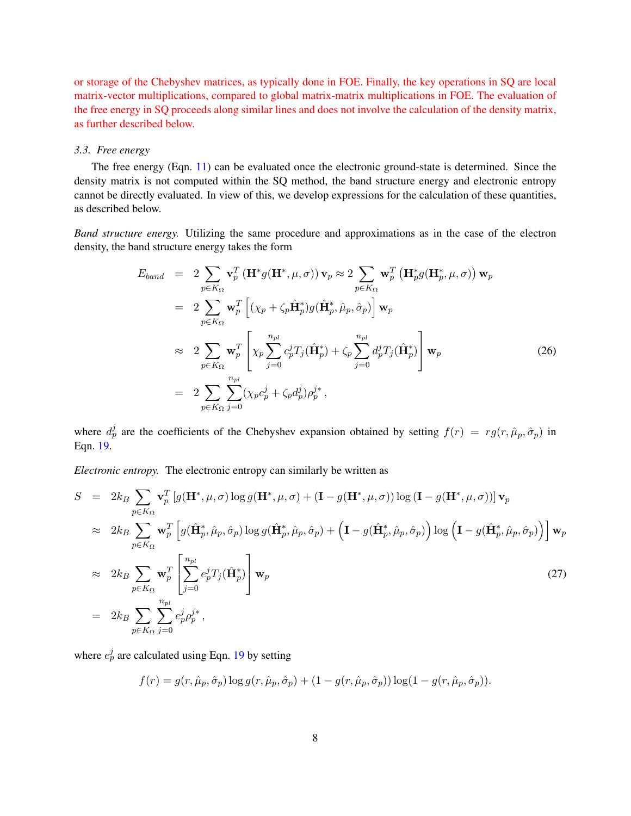or storage of the Chebyshev matrices, as typically done in FOE. Finally, the key operations in SQ are local matrix-vector multiplications, compared to global matrix-matrix multiplications in FOE. The evaluation of the free energy in SQ proceeds along similar lines and does not involve the calculation of the density matrix, as further described below.

# *3.3. Free energy*

The free energy (Eqn. 11) can be evaluated once the electronic ground-state is determined. Since the density matrix is not computed within the SQ method, the band structure energy and electronic entropy cannot be directly evaluated. In view of this, we develop expressions for the calculation of these quantities, as described below.

*Band structure energy.* Utilizing the same procedure and approximations as in the case of the electron density, the band structure energy takes the form

$$
E_{band} = 2 \sum_{p \in K_{\Omega}} \mathbf{v}_{p}^{T} \left( \mathbf{H}^{*} g(\mathbf{H}^{*}, \mu, \sigma) \right) \mathbf{v}_{p} \approx 2 \sum_{p \in K_{\Omega}} \mathbf{w}_{p}^{T} \left( \mathbf{H}_{p}^{*} g(\mathbf{H}_{p}^{*}, \mu, \sigma) \right) \mathbf{w}_{p}
$$
  
\n
$$
= 2 \sum_{p \in K_{\Omega}} \mathbf{w}_{p}^{T} \left[ (\chi_{p} + \zeta_{p} \hat{\mathbf{H}}_{p}^{*}) g(\hat{\mathbf{H}}_{p}^{*}, \hat{\mu}_{p}, \hat{\sigma}_{p}) \right] \mathbf{w}_{p}
$$
  
\n
$$
\approx 2 \sum_{p \in K_{\Omega}} \mathbf{w}_{p}^{T} \left[ \chi_{p} \sum_{j=0}^{n_{pl}} c_{p}^{j} T_{j}(\hat{\mathbf{H}}_{p}^{*}) + \zeta_{p} \sum_{j=0}^{n_{pl}} d_{p}^{j} T_{j}(\hat{\mathbf{H}}_{p}^{*}) \right] \mathbf{w}_{p}
$$
  
\n
$$
= 2 \sum_{p \in K_{\Omega}} \sum_{j=0}^{n_{pl}} (\chi_{p} c_{p}^{j} + \zeta_{p} d_{p}^{j}) \rho_{p}^{j*}, \qquad (26)
$$

where  $d_p^j$  are the coefficients of the Chebyshev expansion obtained by setting  $f(r) = rg(r, \hat{\mu}_p, \hat{\sigma}_p)$  in Eqn. 19.

*Electronic entropy.* The electronic entropy can similarly be written as

$$
S = 2k_B \sum_{p \in K_{\Omega}} \mathbf{v}_p^T \left[ g(\mathbf{H}^*, \mu, \sigma) \log g(\mathbf{H}^*, \mu, \sigma) + (\mathbf{I} - g(\mathbf{H}^*, \mu, \sigma)) \log (\mathbf{I} - g(\mathbf{H}^*, \mu, \sigma)) \right] \mathbf{v}_p
$$
  
\n
$$
\approx 2k_B \sum_{p \in K_{\Omega}} \mathbf{w}_p^T \left[ g(\hat{\mathbf{H}}_p^*, \hat{\mu}_p, \hat{\sigma}_p) \log g(\hat{\mathbf{H}}_p^*, \hat{\mu}_p, \hat{\sigma}_p) + \left( \mathbf{I} - g(\hat{\mathbf{H}}_p^*, \hat{\mu}_p, \hat{\sigma}_p) \right) \log \left( \mathbf{I} - g(\hat{\mathbf{H}}_p^*, \hat{\mu}_p, \hat{\sigma}_p) \right) \right] \mathbf{w}_p
$$
  
\n
$$
\approx 2k_B \sum_{p \in K_{\Omega}} \mathbf{w}_p^T \left[ \sum_{j=0}^{n_{pl}} e_p^j T_j(\hat{\mathbf{H}}_p^*) \right] \mathbf{w}_p
$$
  
\n
$$
= 2k_B \sum_{p \in K_{\Omega}} \sum_{j=0}^{n_{pl}} e_p^j \rho_p^{j*}, \qquad (27)
$$

where  $e_p^j$  are calculated using Eqn. 19 by setting

$$
f(r) = g(r, \hat{\mu}_p, \hat{\sigma}_p) \log g(r, \hat{\mu}_p, \hat{\sigma}_p) + (1 - g(r, \hat{\mu}_p, \hat{\sigma}_p)) \log (1 - g(r, \hat{\mu}_p, \hat{\sigma}_p)).
$$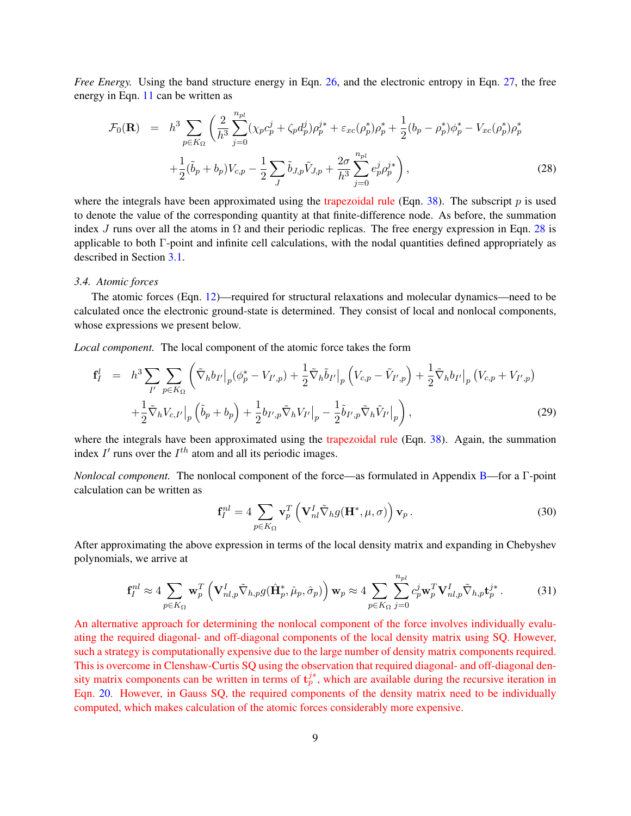*Free Energy.* Using the band structure energy in Eqn. 26, and the electronic entropy in Eqn. 27, the free energy in Eqn. 11 can be written as

$$
\mathcal{F}_0(\mathbf{R}) = h^3 \sum_{p \in K_{\Omega}} \left( \frac{2}{h^3} \sum_{j=0}^{n_{pl}} (\chi_p c_p^j + \zeta_p d_p^j) \rho_p^{j*} + \varepsilon_{xc} (\rho_p^*) \rho_p^* + \frac{1}{2} (b_p - \rho_p^*) \phi_p^* - V_{xc} (\rho_p^*) \rho_p^* + \frac{1}{2} (\tilde{b}_p + b_p) V_{c,p} - \frac{1}{2} \sum_j \tilde{b}_{J,p} \tilde{V}_{J,p} + \frac{2\sigma}{h^3} \sum_{j=0}^{n_{pl}} e_p^j \rho_p^{j*} \right),
$$
\n(28)

where the integrals have been approximated using the trapezoidal rule (Eqn. 38). The subscript  $p$  is used to denote the value of the corresponding quantity at that finite-difference node. As before, the summation index J runs over all the atoms in  $\Omega$  and their periodic replicas. The free energy expression in Eqn. 28 is applicable to both Γ-point and infinite cell calculations, with the nodal quantities defined appropriately as described in Section 3.1.

### *3.4. Atomic forces*

The atomic forces (Eqn. 12)—required for structural relaxations and molecular dynamics—need to be calculated once the electronic ground-state is determined. They consist of local and nonlocal components, whose expressions we present below.

*Local component.* The local component of the atomic force takes the form

$$
\mathbf{f}_{I}^{l} = h^{3} \sum_{I'} \sum_{p \in K_{\Omega}} \left( \tilde{\nabla}_{h} b_{I'} \big|_{p} (\phi_{p}^{*} - V_{I',p}) + \frac{1}{2} \tilde{\nabla}_{h} \tilde{b}_{I'} \big|_{p} \left( V_{c,p} - \tilde{V}_{I',p} \right) + \frac{1}{2} \tilde{\nabla}_{h} b_{I'} \big|_{p} \left( V_{c,p} + V_{I',p} \right) \right) + \frac{1}{2} \tilde{\nabla}_{h} V_{c,I'} \big|_{p} \left( \tilde{b}_{p} + b_{p} \right) + \frac{1}{2} b_{I',p} \tilde{\nabla}_{h} V_{I'} \big|_{p} - \frac{1}{2} \tilde{b}_{I',p} \tilde{\nabla}_{h} \tilde{V}_{I'} \big|_{p} \right),
$$
(29)

where the integrals have been approximated using the trapezoidal rule (Eqn. 38). Again, the summation index  $I'$  runs over the  $I^{th}$  atom and all its periodic images.

*Nonlocal component.* The nonlocal component of the force—as formulated in Appendix B—for a Γ-point calculation can be written as

$$
\mathbf{f}_I^{nl} = 4 \sum_{p \in K_{\Omega}} \mathbf{v}_p^T \left( \mathbf{V}_{nl}^I \tilde{\nabla}_h g(\mathbf{H}^*, \mu, \sigma) \right) \mathbf{v}_p. \tag{30}
$$

After approximating the above expression in terms of the local density matrix and expanding in Chebyshev polynomials, we arrive at

$$
\mathbf{f}_{I}^{nl} \approx 4 \sum_{p \in K_{\Omega}} \mathbf{w}_{p}^{T} \left( \mathbf{V}_{nl,p}^{I} \tilde{\nabla}_{h,p} g(\hat{\mathbf{H}}_{p}^{*}, \hat{\mu}_{p}, \hat{\sigma}_{p}) \right) \mathbf{w}_{p} \approx 4 \sum_{p \in K_{\Omega}} \sum_{j=0}^{n_{pl}} c_{p}^{j} \mathbf{w}_{p}^{T} \mathbf{V}_{nl,p}^{I} \tilde{\nabla}_{h,p} \mathbf{t}_{p}^{j*}.
$$
 (31)

An alternative approach for determining the nonlocal component of the force involves individually evaluating the required diagonal- and off-diagonal components of the local density matrix using SQ. However, such a strategy is computationally expensive due to the large number of density matrix components required. This is overcome in Clenshaw-Curtis SQ using the observation that required diagonal- and off-diagonal density matrix components can be written in terms of  $t_p^{j*}$ , which are available during the recursive iteration in Eqn. 20. However, in Gauss SQ, the required components of the density matrix need to be individually computed, which makes calculation of the atomic forces considerably more expensive.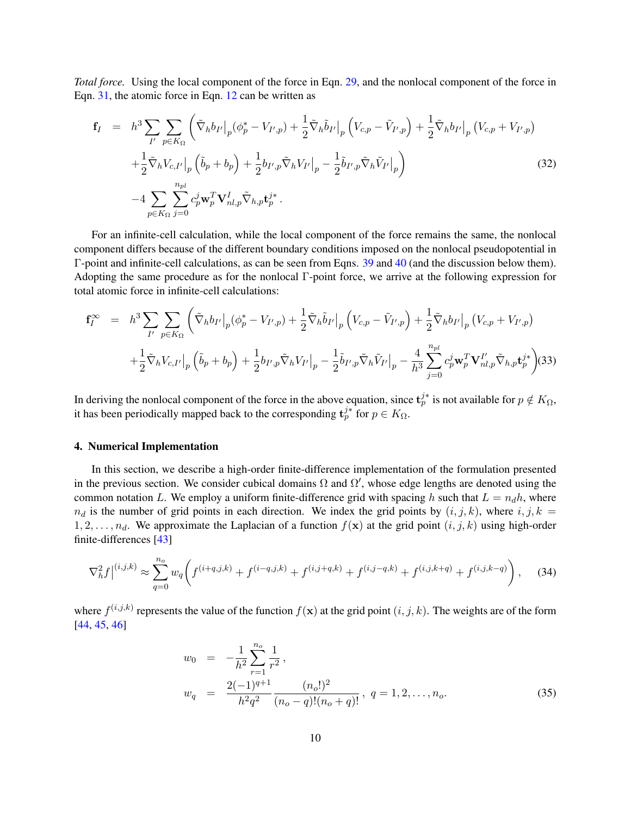*Total force.* Using the local component of the force in Eqn. 29, and the nonlocal component of the force in Eqn. 31, the atomic force in Eqn. 12 can be written as

$$
\mathbf{f}_{I} = h^{3} \sum_{I'} \sum_{p \in K_{\Omega}} \left( \tilde{\nabla}_{h} b_{I'} \big|_{p} (\phi_{p}^{*} - V_{I',p}) + \frac{1}{2} \tilde{\nabla}_{h} \tilde{b}_{I'} \big|_{p} \left( V_{c,p} - \tilde{V}_{I',p} \right) + \frac{1}{2} \tilde{\nabla}_{h} b_{I'} \big|_{p} \left( V_{c,p} + V_{I',p} \right) \right.\left. + \frac{1}{2} \tilde{\nabla}_{h} V_{c,I'} \big|_{p} \left( \tilde{b}_{p} + b_{p} \right) + \frac{1}{2} b_{I',p} \tilde{\nabla}_{h} V_{I'} \big|_{p} - \frac{1}{2} \tilde{b}_{I',p} \tilde{\nabla}_{h} \tilde{V}_{I'} \big|_{p} \right) \right.\left. - 4 \sum_{p \in K_{\Omega}} \sum_{j=0}^{n_{pl}} c_{p}^{j} \mathbf{w}_{p}^{T} \mathbf{V}_{nl,p}^{I} \tilde{\nabla}_{h,p} \mathbf{t}_{p}^{j*} .
$$
\n(32)

For an infinite-cell calculation, while the local component of the force remains the same, the nonlocal component differs because of the different boundary conditions imposed on the nonlocal pseudopotential in Γ-point and infinite-cell calculations, as can be seen from Eqns. 39 and 40 (and the discussion below them). Adopting the same procedure as for the nonlocal  $\Gamma$ -point force, we arrive at the following expression for total atomic force in infinite-cell calculations:

$$
\mathbf{f}_{I}^{\infty} = h^{3} \sum_{I'} \sum_{p \in K_{\Omega}} \left( \tilde{\nabla}_{h} b_{I'} \big|_{p} (\phi_{p}^{*} - V_{I',p}) + \frac{1}{2} \tilde{\nabla}_{h} \tilde{b}_{I'} \big|_{p} \left( V_{c,p} - \tilde{V}_{I',p} \right) + \frac{1}{2} \tilde{\nabla}_{h} b_{I'} \big|_{p} \left( V_{c,p} + V_{I',p} \right) \right) + \frac{1}{2} \tilde{\nabla}_{h} V_{c,I'} \big|_{p} \left( \tilde{b}_{p} + b_{p} \right) + \frac{1}{2} b_{I',p} \tilde{\nabla}_{h} V_{I'} \big|_{p} - \frac{1}{2} \tilde{b}_{I',p} \tilde{\nabla}_{h} \tilde{V}_{I'} \big|_{p} - \frac{4}{h^{3}} \sum_{j=0}^{n_{pl}} c_{p}^{j} \mathbf{w}_{p}^{T} \mathbf{V}_{nl,p}^{I'} \tilde{\nabla}_{h,p} \mathbf{t}_{p}^{j*} \right)
$$
(33)

In deriving the nonlocal component of the force in the above equation, since  $t_p^{j*}$  is not available for  $p \notin K_{\Omega}$ , it has been periodically mapped back to the corresponding  $t_p^{j*}$  for  $p \in K_{\Omega}$ .

#### 4. Numerical Implementation

In this section, we describe a high-order finite-difference implementation of the formulation presented in the previous section. We consider cubical domains  $\Omega$  and  $\Omega'$ , whose edge lengths are denoted using the common notation L. We employ a uniform finite-difference grid with spacing h such that  $L = n_d h$ , where  $n_d$  is the number of grid points in each direction. We index the grid points by  $(i, j, k)$ , where  $i, j, k =$  $1, 2, \ldots, n_d$ . We approximate the Laplacian of a function  $f(\mathbf{x})$  at the grid point  $(i, j, k)$  using high-order finite-differences [43]

$$
\nabla_h^2 f|^{(i,j,k)} \approx \sum_{q=0}^{n_o} w_q \bigg( f^{(i+q,j,k)} + f^{(i-q,j,k)} + f^{(i,j+q,k)} + f^{(i,j-q,k)} + f^{(i,j,k+q)} + f^{(i,j,k-q)} \bigg) \,,\tag{34}
$$

where  $f^{(i,j,k)}$  represents the value of the function  $f(\mathbf{x})$  at the grid point  $(i, j, k)$ . The weights are of the form [44, 45, 46]

$$
w_0 = -\frac{1}{h^2} \sum_{r=1}^{n_o} \frac{1}{r^2},
$$
  
\n
$$
w_q = \frac{2(-1)^{q+1}}{h^2 q^2} \frac{(n_o!)^2}{(n_o - q)!(n_o + q)!}, \ q = 1, 2, ..., n_o.
$$
\n(35)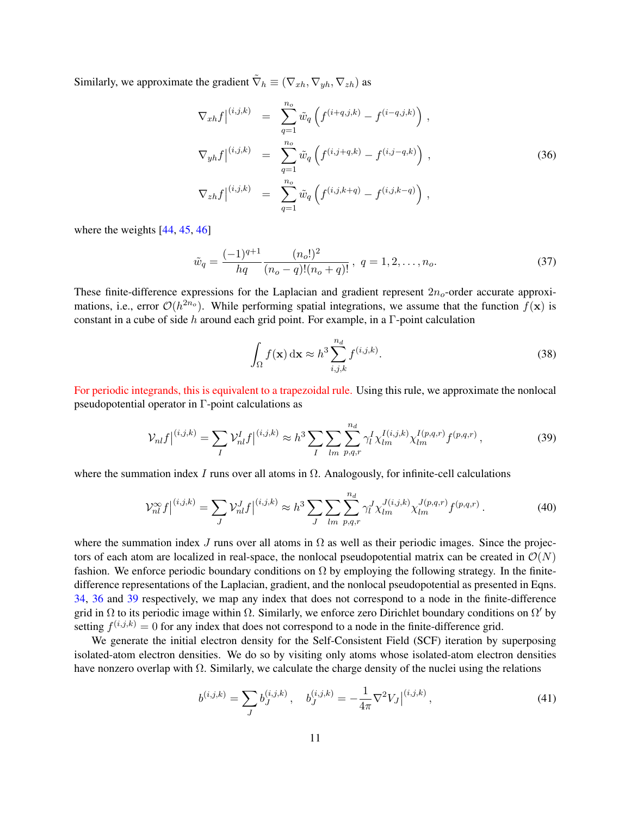Similarly, we approximate the gradient  $\tilde{\nabla}_h \equiv (\nabla_{xh}, \nabla_{yh}, \nabla_{zh})$  as

$$
\nabla_{xh} f \Big|^{(i,j,k)} = \sum_{q=1}^{n_o} \tilde{w}_q \left( f^{(i+q,j,k)} - f^{(i-q,j,k)} \right),
$$
  
\n
$$
\nabla_{yh} f \Big|^{(i,j,k)} = \sum_{q=1}^{n_o} \tilde{w}_q \left( f^{(i,j+q,k)} - f^{(i,j-q,k)} \right),
$$
  
\n
$$
\nabla_{zh} f \Big|^{(i,j,k)} = \sum_{q=1}^{n_o} \tilde{w}_q \left( f^{(i,j,k+q)} - f^{(i,j,k-q)} \right),
$$
\n(36)

where the weights [44, 45, 46]

$$
\tilde{w}_q = \frac{(-1)^{q+1}}{hq} \frac{(n_o!)^2}{(n_o - q)!(n_o + q)!}, \ q = 1, 2, \dots, n_o.
$$
\n(37)

These finite-difference expressions for the Laplacian and gradient represent  $2n<sub>o</sub>$ -order accurate approximations, i.e., error  $\mathcal{O}(h^{2n_o})$ . While performing spatial integrations, we assume that the function  $f(\mathbf{x})$  is constant in a cube of side h around each grid point. For example, in a  $\Gamma$ -point calculation

$$
\int_{\Omega} f(\mathbf{x}) \, \mathrm{d}\mathbf{x} \approx h^3 \sum_{i,j,k}^{n_d} f^{(i,j,k)}.
$$
\n(38)

For periodic integrands, this is equivalent to a trapezoidal rule. Using this rule, we approximate the nonlocal pseudopotential operator in  $\Gamma$ -point calculations as

$$
\mathcal{V}_{nl}f|^{(i,j,k)} = \sum_{I} \mathcal{V}_{nl}^{I} f|^{(i,j,k)} \approx h^3 \sum_{I} \sum_{lm} \sum_{p,q,r}^{n_d} \gamma_l^I \chi_{lm}^{I(i,j,k)} \chi_{lm}^{I(p,q,r)} f^{(p,q,r)}, \qquad (39)
$$

where the summation index I runs over all atoms in  $\Omega$ . Analogously, for infinite-cell calculations

$$
\mathcal{V}_{nl}^{\infty} f \big|^{(i,j,k)} = \sum_{J} \mathcal{V}_{nl}^{J} f \big|^{(i,j,k)} \approx h^3 \sum_{J} \sum_{lm} \sum_{p,q,r}^{n_d} \gamma_l^{J} \chi_{lm}^{J(i,j,k)} \chi_{lm}^{J(p,q,r)} f^{(p,q,r)}.
$$
 (40)

where the summation index J runs over all atoms in  $\Omega$  as well as their periodic images. Since the projectors of each atom are localized in real-space, the nonlocal pseudopotential matrix can be created in  $\mathcal{O}(N)$ fashion. We enforce periodic boundary conditions on  $\Omega$  by employing the following strategy. In the finitedifference representations of the Laplacian, gradient, and the nonlocal pseudopotential as presented in Eqns. 34, 36 and 39 respectively, we map any index that does not correspond to a node in the finite-difference grid in  $\Omega$  to its periodic image within  $\Omega$ . Similarly, we enforce zero Dirichlet boundary conditions on  $\Omega'$  by setting  $f^{(i,j,k)} = 0$  for any index that does not correspond to a node in the finite-difference grid.

We generate the initial electron density for the Self-Consistent Field (SCF) iteration by superposing isolated-atom electron densities. We do so by visiting only atoms whose isolated-atom electron densities have nonzero overlap with  $\Omega$ . Similarly, we calculate the charge density of the nuclei using the relations

$$
b^{(i,j,k)} = \sum_{J} b^{(i,j,k)}_{J}, \quad b^{(i,j,k)}_{J} = -\frac{1}{4\pi} \nabla^2 V_J \Big|^{(i,j,k)}, \tag{41}
$$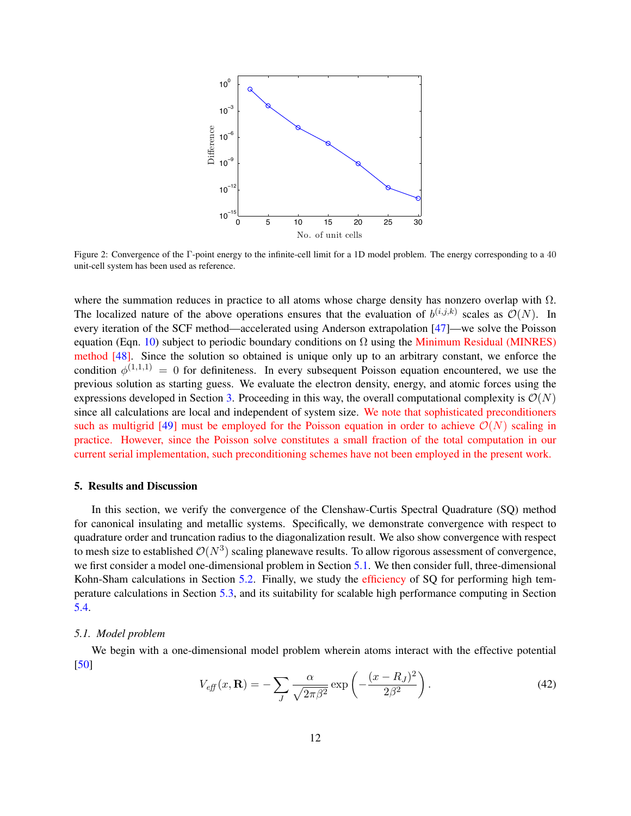

Figure 2: Convergence of the Γ-point energy to the infinite-cell limit for a 1D model problem. The energy corresponding to a 40 unit-cell system has been used as reference.

where the summation reduces in practice to all atoms whose charge density has nonzero overlap with  $\Omega$ . The localized nature of the above operations ensures that the evaluation of  $b^{(i,j,k)}$  scales as  $\mathcal{O}(N)$ . In every iteration of the SCF method—accelerated using Anderson extrapolation [47]—we solve the Poisson equation (Eqn. 10) subject to periodic boundary conditions on  $Ω$  using the Minimum Residual (MINRES) method [48]. Since the solution so obtained is unique only up to an arbitrary constant, we enforce the condition  $\phi^{(1,1,1)} = 0$  for definiteness. In every subsequent Poisson equation encountered, we use the previous solution as starting guess. We evaluate the electron density, energy, and atomic forces using the expressions developed in Section 3. Proceeding in this way, the overall computational complexity is  $\mathcal{O}(N)$ since all calculations are local and independent of system size. We note that sophisticated preconditioners such as multigrid [49] must be employed for the Poisson equation in order to achieve  $\mathcal{O}(N)$  scaling in practice. However, since the Poisson solve constitutes a small fraction of the total computation in our current serial implementation, such preconditioning schemes have not been employed in the present work.

## 5. Results and Discussion

In this section, we verify the convergence of the Clenshaw-Curtis Spectral Quadrature (SQ) method for canonical insulating and metallic systems. Specifically, we demonstrate convergence with respect to quadrature order and truncation radius to the diagonalization result. We also show convergence with respect to mesh size to established  $\mathcal{O}(N^3)$  scaling planewave results. To allow rigorous assessment of convergence, we first consider a model one-dimensional problem in Section 5.1. We then consider full, three-dimensional Kohn-Sham calculations in Section 5.2. Finally, we study the efficiency of SQ for performing high temperature calculations in Section 5.3, and its suitability for scalable high performance computing in Section 5.4.

## *5.1. Model problem*

We begin with a one-dimensional model problem wherein atoms interact with the effective potential [50]

$$
V_{\text{eff}}(x,\mathbf{R}) = -\sum_{J} \frac{\alpha}{\sqrt{2\pi\beta^2}} \exp\left(-\frac{(x - R_J)^2}{2\beta^2}\right). \tag{42}
$$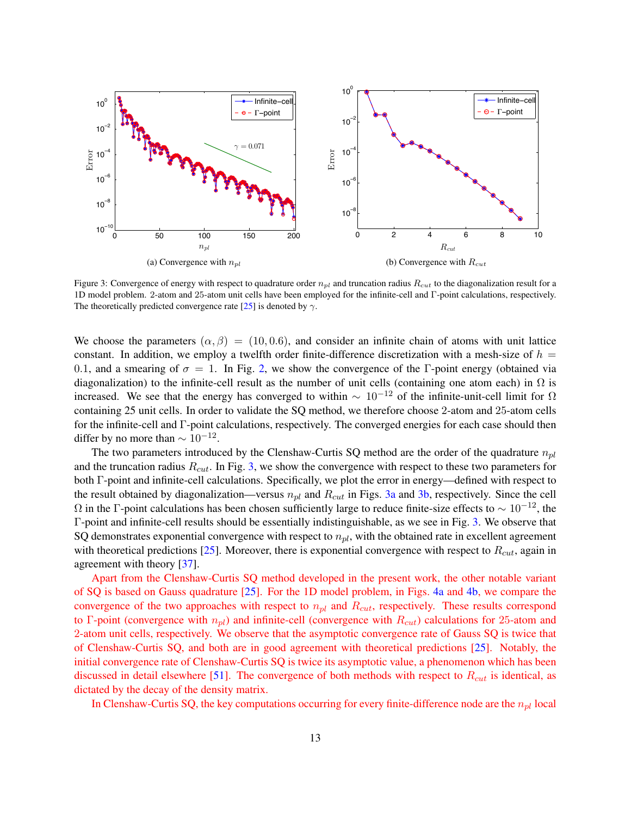

Figure 3: Convergence of energy with respect to quadrature order  $n_{pl}$  and truncation radius  $R_{cut}$  to the diagonalization result for a 1D model problem. 2-atom and 25-atom unit cells have been employed for the infinite-cell and Γ-point calculations, respectively. The theoretically predicted convergence rate [25] is denoted by  $\gamma$ .

We choose the parameters  $(\alpha, \beta) = (10, 0.6)$ , and consider an infinite chain of atoms with unit lattice constant. In addition, we employ a twelfth order finite-difference discretization with a mesh-size of  $h =$ 0.1, and a smearing of  $\sigma = 1$ . In Fig. 2, we show the convergence of the Γ-point energy (obtained via diagonalization) to the infinite-cell result as the number of unit cells (containing one atom each) in  $\Omega$  is increased. We see that the energy has converged to within  $\sim 10^{-12}$  of the infinite-unit-cell limit for  $\Omega$ containing 25 unit cells. In order to validate the SQ method, we therefore choose 2-atom and 25-atom cells for the infinite-cell and Γ-point calculations, respectively. The converged energies for each case should then differ by no more than  $\sim 10^{-12}$ .

The two parameters introduced by the Clenshaw-Curtis SQ method are the order of the quadrature  $n_{pl}$ and the truncation radius  $R_{cut}$ . In Fig. 3, we show the convergence with respect to these two parameters for both Γ-point and infinite-cell calculations. Specifically, we plot the error in energy—defined with respect to the result obtained by diagonalization—versus  $n_{pl}$  and  $R_{cut}$  in Figs. 3a and 3b, respectively. Since the cell  $Ω$  in the Γ-point calculations has been chosen sufficiently large to reduce finite-size effects to  $\sim 10^{-12}$ , the Γ-point and infinite-cell results should be essentially indistinguishable, as we see in Fig. 3. We observe that SQ demonstrates exponential convergence with respect to  $n_{pl}$ , with the obtained rate in excellent agreement with theoretical predictions [25]. Moreover, there is exponential convergence with respect to  $R_{cut}$ , again in agreement with theory [37].

Apart from the Clenshaw-Curtis SQ method developed in the present work, the other notable variant of SQ is based on Gauss quadrature [25]. For the 1D model problem, in Figs. 4a and 4b, we compare the convergence of the two approaches with respect to  $n_{pl}$  and  $R_{cut}$ , respectively. These results correspond to Γ-point (convergence with  $n_{pl}$ ) and infinite-cell (convergence with  $R_{cut}$ ) calculations for 25-atom and 2-atom unit cells, respectively. We observe that the asymptotic convergence rate of Gauss SQ is twice that of Clenshaw-Curtis SQ, and both are in good agreement with theoretical predictions [25]. Notably, the initial convergence rate of Clenshaw-Curtis SQ is twice its asymptotic value, a phenomenon which has been discussed in detail elsewhere [51]. The convergence of both methods with respect to  $R_{cut}$  is identical, as dictated by the decay of the density matrix.

In Clenshaw-Curtis SQ, the key computations occurring for every finite-difference node are the  $n_{pl}$  local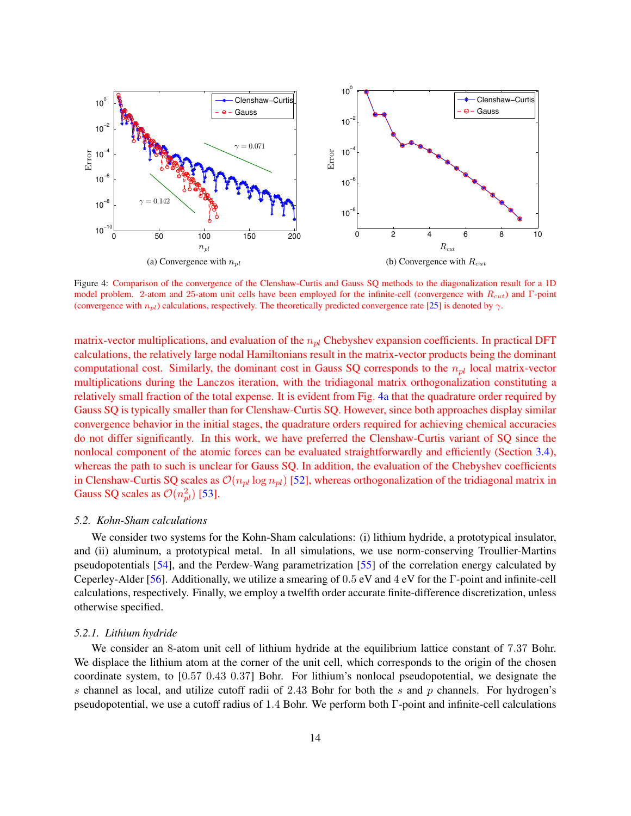

Figure 4: Comparison of the convergence of the Clenshaw-Curtis and Gauss SQ methods to the diagonalization result for a 1D model problem. 2-atom and 25-atom unit cells have been employed for the infinite-cell (convergence with  $R_{cut}$ ) and Γ-point (convergence with  $n_{pl}$ ) calculations, respectively. The theoretically predicted convergence rate [25] is denoted by  $\gamma$ .

matrix-vector multiplications, and evaluation of the  $n_{pl}$  Chebyshev expansion coefficients. In practical DFT calculations, the relatively large nodal Hamiltonians result in the matrix-vector products being the dominant computational cost. Similarly, the dominant cost in Gauss SQ corresponds to the  $n_{pl}$  local matrix-vector multiplications during the Lanczos iteration, with the tridiagonal matrix orthogonalization constituting a relatively small fraction of the total expense. It is evident from Fig. 4a that the quadrature order required by Gauss SQ is typically smaller than for Clenshaw-Curtis SQ. However, since both approaches display similar convergence behavior in the initial stages, the quadrature orders required for achieving chemical accuracies do not differ significantly. In this work, we have preferred the Clenshaw-Curtis variant of SQ since the nonlocal component of the atomic forces can be evaluated straightforwardly and efficiently (Section 3.4), whereas the path to such is unclear for Gauss SQ. In addition, the evaluation of the Chebyshev coefficients in Clenshaw-Curtis SQ scales as  $\mathcal{O}(n_{pl} \log n_{pl})$  [52], whereas orthogonalization of the tridiagonal matrix in Gauss SQ scales as  $\mathcal{O}(n_{pl}^2)$  [53].

## *5.2. Kohn-Sham calculations*

We consider two systems for the Kohn-Sham calculations: (i) lithium hydride, a prototypical insulator, and (ii) aluminum, a prototypical metal. In all simulations, we use norm-conserving Troullier-Martins pseudopotentials [54], and the Perdew-Wang parametrization [55] of the correlation energy calculated by Ceperley-Alder [56]. Additionally, we utilize a smearing of 0.5 eV and 4 eV for the Γ-point and infinite-cell calculations, respectively. Finally, we employ a twelfth order accurate finite-difference discretization, unless otherwise specified.

#### *5.2.1. Lithium hydride*

We consider an 8-atom unit cell of lithium hydride at the equilibrium lattice constant of 7.37 Bohr. We displace the lithium atom at the corner of the unit cell, which corresponds to the origin of the chosen coordinate system, to [0.57 0.43 0.37] Bohr. For lithium's nonlocal pseudopotential, we designate the s channel as local, and utilize cutoff radii of 2.43 Bohr for both the s and p channels. For hydrogen's pseudopotential, we use a cutoff radius of 1.4 Bohr. We perform both Γ-point and infinite-cell calculations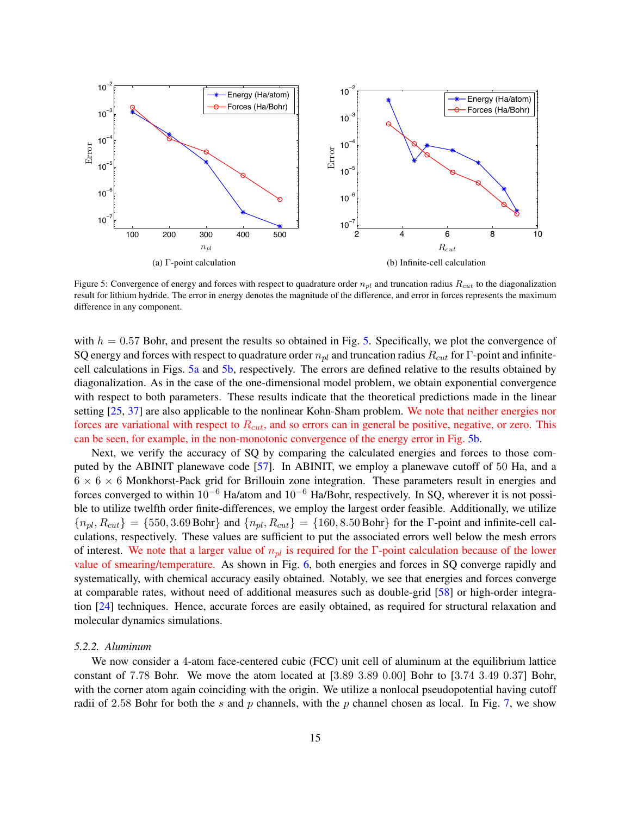

Figure 5: Convergence of energy and forces with respect to quadrature order  $n_{pl}$  and truncation radius  $R_{cut}$  to the diagonalization result for lithium hydride. The error in energy denotes the magnitude of the difference, and error in forces represents the maximum difference in any component.

with  $h = 0.57$  Bohr, and present the results so obtained in Fig. 5. Specifically, we plot the convergence of SQ energy and forces with respect to quadrature order  $n_{pl}$  and truncation radius  $R_{cut}$  for Γ-point and infinitecell calculations in Figs. 5a and 5b, respectively. The errors are defined relative to the results obtained by diagonalization. As in the case of the one-dimensional model problem, we obtain exponential convergence with respect to both parameters. These results indicate that the theoretical predictions made in the linear setting [25, 37] are also applicable to the nonlinear Kohn-Sham problem. We note that neither energies nor forces are variational with respect to  $R_{cut}$ , and so errors can in general be positive, negative, or zero. This can be seen, for example, in the non-monotonic convergence of the energy error in Fig. 5b.

Next, we verify the accuracy of SQ by comparing the calculated energies and forces to those computed by the ABINIT planewave code [57]. In ABINIT, we employ a planewave cutoff of 50 Ha, and a  $6 \times 6 \times 6$  Monkhorst-Pack grid for Brillouin zone integration. These parameters result in energies and forces converged to within  $10^{-6}$  Ha/atom and  $10^{-6}$  Ha/Bohr, respectively. In SQ, wherever it is not possible to utilize twelfth order finite-differences, we employ the largest order feasible. Additionally, we utilize  ${n_{pl}, R_{cut}} = {550, 3.69 \text{ Bohr}}$  and  ${n_{pl}, R_{cut}} = {160, 8.50 \text{ Bohr}}$  for the Γ-point and infinite-cell calculations, respectively. These values are sufficient to put the associated errors well below the mesh errors of interest. We note that a larger value of  $n_{pl}$  is required for the Γ-point calculation because of the lower value of smearing/temperature. As shown in Fig. 6, both energies and forces in SQ converge rapidly and systematically, with chemical accuracy easily obtained. Notably, we see that energies and forces converge at comparable rates, without need of additional measures such as double-grid [58] or high-order integration [24] techniques. Hence, accurate forces are easily obtained, as required for structural relaxation and molecular dynamics simulations.

#### *5.2.2. Aluminum*

We now consider a 4-atom face-centered cubic (FCC) unit cell of aluminum at the equilibrium lattice constant of 7.78 Bohr. We move the atom located at [3.89 3.89 0.00] Bohr to [3.74 3.49 0.37] Bohr, with the corner atom again coinciding with the origin. We utilize a nonlocal pseudopotential having cutoff radii of 2.58 Bohr for both the s and p channels, with the p channel chosen as local. In Fig. 7, we show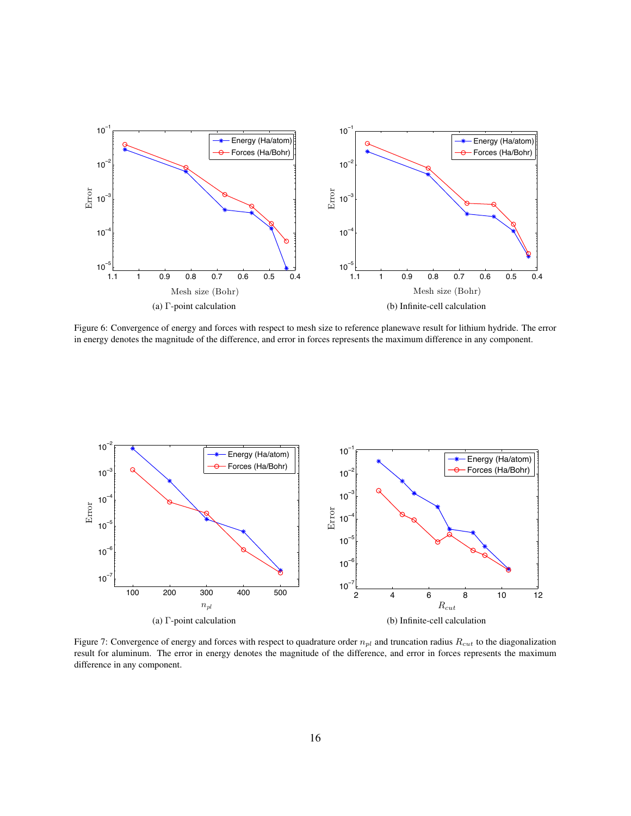

Figure 6: Convergence of energy and forces with respect to mesh size to reference planewave result for lithium hydride. The error in energy denotes the magnitude of the difference, and error in forces represents the maximum difference in any component.



Figure 7: Convergence of energy and forces with respect to quadrature order  $n_{pl}$  and truncation radius  $R_{cut}$  to the diagonalization result for aluminum. The error in energy denotes the magnitude of the difference, and error in forces represents the maximum difference in any component.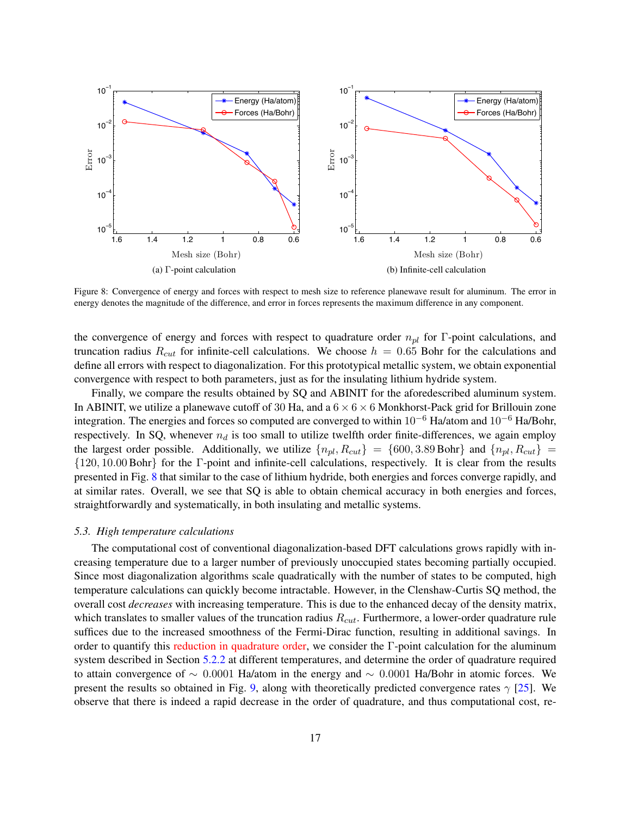

Figure 8: Convergence of energy and forces with respect to mesh size to reference planewave result for aluminum. The error in energy denotes the magnitude of the difference, and error in forces represents the maximum difference in any component.

the convergence of energy and forces with respect to quadrature order  $n_{pl}$  for Γ-point calculations, and truncation radius  $R_{cut}$  for infinite-cell calculations. We choose  $h = 0.65$  Bohr for the calculations and define all errors with respect to diagonalization. For this prototypical metallic system, we obtain exponential convergence with respect to both parameters, just as for the insulating lithium hydride system.

Finally, we compare the results obtained by SQ and ABINIT for the aforedescribed aluminum system. In ABINIT, we utilize a planewave cutoff of 30 Ha, and a  $6 \times 6 \times 6$  Monkhorst-Pack grid for Brillouin zone integration. The energies and forces so computed are converged to within 10−<sup>6</sup> Ha/atom and 10−<sup>6</sup> Ha/Bohr, respectively. In SQ, whenever  $n_d$  is too small to utilize twelfth order finite-differences, we again employ the largest order possible. Additionally, we utilize  $\{n_{pl}, R_{cut}\} = \{600, 3.89 \text{ Bohr}\}\$ and  $\{n_{pl}, R_{cut}\} =$ {120, 10.00Bohr} for the Γ-point and infinite-cell calculations, respectively. It is clear from the results presented in Fig. 8 that similar to the case of lithium hydride, both energies and forces converge rapidly, and at similar rates. Overall, we see that SQ is able to obtain chemical accuracy in both energies and forces, straightforwardly and systematically, in both insulating and metallic systems.

#### *5.3. High temperature calculations*

The computational cost of conventional diagonalization-based DFT calculations grows rapidly with increasing temperature due to a larger number of previously unoccupied states becoming partially occupied. Since most diagonalization algorithms scale quadratically with the number of states to be computed, high temperature calculations can quickly become intractable. However, in the Clenshaw-Curtis SQ method, the overall cost *decreases* with increasing temperature. This is due to the enhanced decay of the density matrix, which translates to smaller values of the truncation radius  $R_{cut}$ . Furthermore, a lower-order quadrature rule suffices due to the increased smoothness of the Fermi-Dirac function, resulting in additional savings. In order to quantify this reduction in quadrature order, we consider the Γ-point calculation for the aluminum system described in Section 5.2.2 at different temperatures, and determine the order of quadrature required to attain convergence of  $\sim 0.0001$  Ha/atom in the energy and  $\sim 0.0001$  Ha/Bohr in atomic forces. We present the results so obtained in Fig. 9, along with theoretically predicted convergence rates  $\gamma$  [25]. We observe that there is indeed a rapid decrease in the order of quadrature, and thus computational cost, re-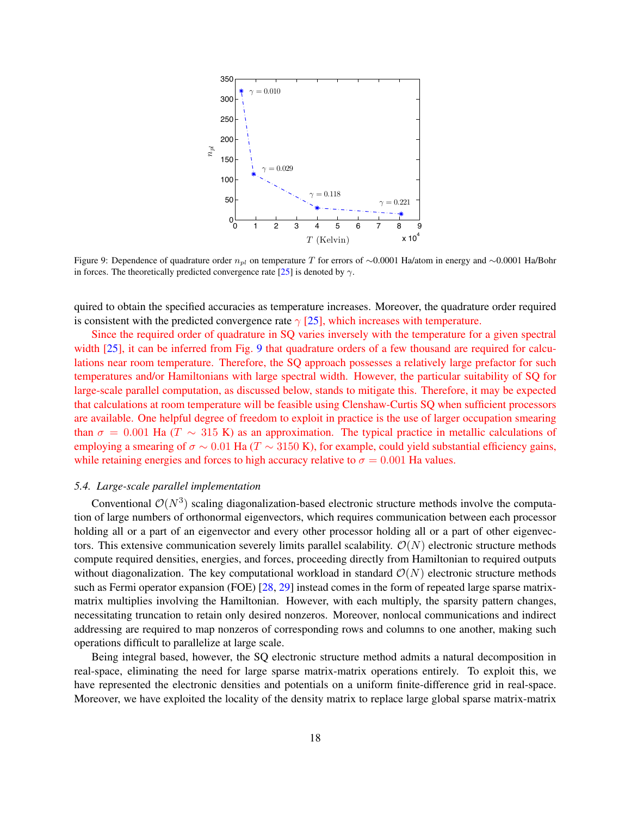

Figure 9: Dependence of quadrature order  $n_{pl}$  on temperature T for errors of ∼0.0001 Ha/atom in energy and ∼0.0001 Ha/Bohr in forces. The theoretically predicted convergence rate [25] is denoted by  $\gamma$ .

quired to obtain the specified accuracies as temperature increases. Moreover, the quadrature order required is consistent with the predicted convergence rate  $\gamma$  [25], which increases with temperature.

Since the required order of quadrature in SQ varies inversely with the temperature for a given spectral width [25], it can be inferred from Fig. 9 that quadrature orders of a few thousand are required for calculations near room temperature. Therefore, the SQ approach possesses a relatively large prefactor for such temperatures and/or Hamiltonians with large spectral width. However, the particular suitability of SQ for large-scale parallel computation, as discussed below, stands to mitigate this. Therefore, it may be expected that calculations at room temperature will be feasible using Clenshaw-Curtis SQ when sufficient processors are available. One helpful degree of freedom to exploit in practice is the use of larger occupation smearing than  $\sigma = 0.001$  Ha (T  $\sim 315$  K) as an approximation. The typical practice in metallic calculations of employing a smearing of  $\sigma \sim 0.01$  Ha (T  $\sim 3150$  K), for example, could yield substantial efficiency gains, while retaining energies and forces to high accuracy relative to  $\sigma = 0.001$  Ha values.

# *5.4. Large-scale parallel implementation*

Conventional  $\mathcal{O}(N^3)$  scaling diagonalization-based electronic structure methods involve the computation of large numbers of orthonormal eigenvectors, which requires communication between each processor holding all or a part of an eigenvector and every other processor holding all or a part of other eigenvectors. This extensive communication severely limits parallel scalability.  $\mathcal{O}(N)$  electronic structure methods compute required densities, energies, and forces, proceeding directly from Hamiltonian to required outputs without diagonalization. The key computational workload in standard  $\mathcal{O}(N)$  electronic structure methods such as Fermi operator expansion (FOE) [28, 29] instead comes in the form of repeated large sparse matrixmatrix multiplies involving the Hamiltonian. However, with each multiply, the sparsity pattern changes, necessitating truncation to retain only desired nonzeros. Moreover, nonlocal communications and indirect addressing are required to map nonzeros of corresponding rows and columns to one another, making such operations difficult to parallelize at large scale.

Being integral based, however, the SQ electronic structure method admits a natural decomposition in real-space, eliminating the need for large sparse matrix-matrix operations entirely. To exploit this, we have represented the electronic densities and potentials on a uniform finite-difference grid in real-space. Moreover, we have exploited the locality of the density matrix to replace large global sparse matrix-matrix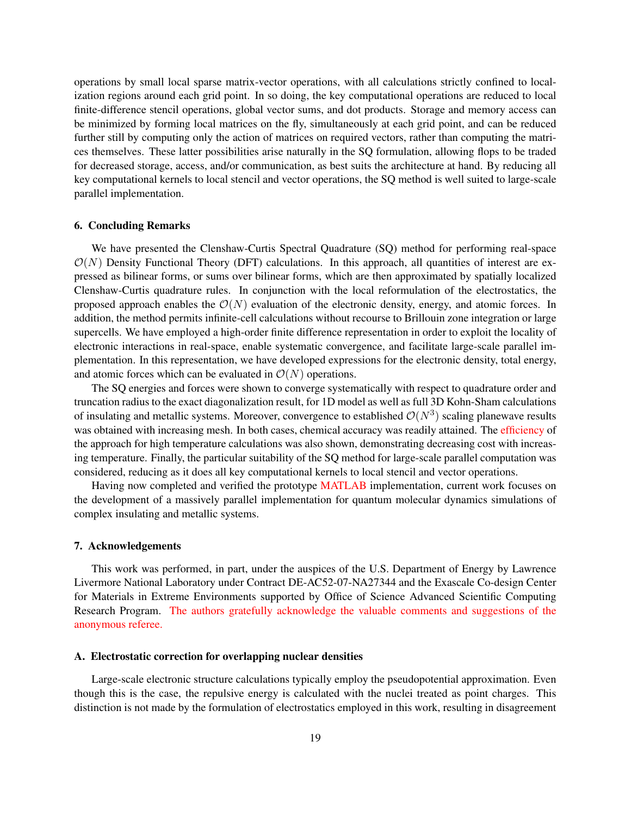operations by small local sparse matrix-vector operations, with all calculations strictly confined to localization regions around each grid point. In so doing, the key computational operations are reduced to local finite-difference stencil operations, global vector sums, and dot products. Storage and memory access can be minimized by forming local matrices on the fly, simultaneously at each grid point, and can be reduced further still by computing only the action of matrices on required vectors, rather than computing the matrices themselves. These latter possibilities arise naturally in the SQ formulation, allowing flops to be traded for decreased storage, access, and/or communication, as best suits the architecture at hand. By reducing all key computational kernels to local stencil and vector operations, the SQ method is well suited to large-scale parallel implementation.

## 6. Concluding Remarks

We have presented the Clenshaw-Curtis Spectral Quadrature (SQ) method for performing real-space  $\mathcal{O}(N)$  Density Functional Theory (DFT) calculations. In this approach, all quantities of interest are expressed as bilinear forms, or sums over bilinear forms, which are then approximated by spatially localized Clenshaw-Curtis quadrature rules. In conjunction with the local reformulation of the electrostatics, the proposed approach enables the  $\mathcal{O}(N)$  evaluation of the electronic density, energy, and atomic forces. In addition, the method permits infinite-cell calculations without recourse to Brillouin zone integration or large supercells. We have employed a high-order finite difference representation in order to exploit the locality of electronic interactions in real-space, enable systematic convergence, and facilitate large-scale parallel implementation. In this representation, we have developed expressions for the electronic density, total energy, and atomic forces which can be evaluated in  $\mathcal{O}(N)$  operations.

The SQ energies and forces were shown to converge systematically with respect to quadrature order and truncation radius to the exact diagonalization result, for 1D model as well as full 3D Kohn-Sham calculations of insulating and metallic systems. Moreover, convergence to established  $\mathcal{O}(N^3)$  scaling planewave results was obtained with increasing mesh. In both cases, chemical accuracy was readily attained. The efficiency of the approach for high temperature calculations was also shown, demonstrating decreasing cost with increasing temperature. Finally, the particular suitability of the SQ method for large-scale parallel computation was considered, reducing as it does all key computational kernels to local stencil and vector operations.

Having now completed and verified the prototype MATLAB implementation, current work focuses on the development of a massively parallel implementation for quantum molecular dynamics simulations of complex insulating and metallic systems.

#### 7. Acknowledgements

This work was performed, in part, under the auspices of the U.S. Department of Energy by Lawrence Livermore National Laboratory under Contract DE-AC52-07-NA27344 and the Exascale Co-design Center for Materials in Extreme Environments supported by Office of Science Advanced Scientific Computing Research Program. The authors gratefully acknowledge the valuable comments and suggestions of the anonymous referee.

# A. Electrostatic correction for overlapping nuclear densities

Large-scale electronic structure calculations typically employ the pseudopotential approximation. Even though this is the case, the repulsive energy is calculated with the nuclei treated as point charges. This distinction is not made by the formulation of electrostatics employed in this work, resulting in disagreement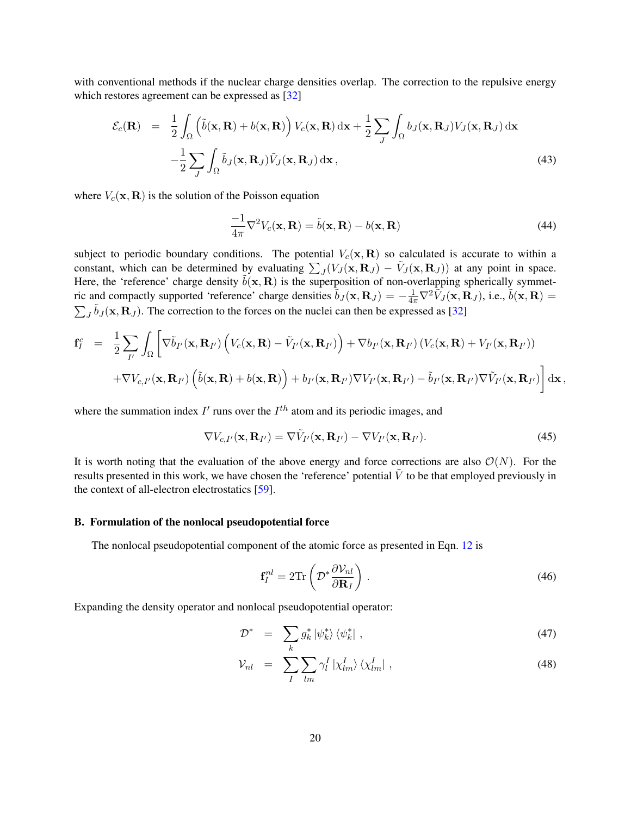with conventional methods if the nuclear charge densities overlap. The correction to the repulsive energy which restores agreement can be expressed as [32]

$$
\mathcal{E}_c(\mathbf{R}) = \frac{1}{2} \int_{\Omega} \left( \tilde{b}(\mathbf{x}, \mathbf{R}) + b(\mathbf{x}, \mathbf{R}) \right) V_c(\mathbf{x}, \mathbf{R}) \, d\mathbf{x} + \frac{1}{2} \sum_J \int_{\Omega} b_J(\mathbf{x}, \mathbf{R}_J) V_J(\mathbf{x}, \mathbf{R}_J) \, d\mathbf{x} -\frac{1}{2} \sum_J \int_{\Omega} \tilde{b}_J(\mathbf{x}, \mathbf{R}_J) \tilde{V}_J(\mathbf{x}, \mathbf{R}_J) \, d\mathbf{x},
$$
\n(43)

where  $V_c(\mathbf{x}, \mathbf{R})$  is the solution of the Poisson equation

$$
\frac{-1}{4\pi}\nabla^2 V_c(\mathbf{x}, \mathbf{R}) = \tilde{b}(\mathbf{x}, \mathbf{R}) - b(\mathbf{x}, \mathbf{R})
$$
\n(44)

subject to periodic boundary conditions. The potential  $V_c(\mathbf{x}, \mathbf{R})$  so calculated is accurate to within a constant, which can be determined by evaluating  $\sum_{J} (V_J(\mathbf{x}, \mathbf{R}_J) - \tilde{V}_J(\mathbf{x}, \mathbf{R}_J))$  at any point in space. Here, the 'reference' charge density  $\tilde{b}(\mathbf{x}, \mathbf{R})$  is the superposition of non-overlapping spherically symmetric and compactly supported 'reference' charge densities  $\tilde{b}_J(\mathbf{x}, \mathbf{R}_J) = -\frac{1}{4\pi} \nabla^2 \tilde{V}_J(\mathbf{x}, \mathbf{R}_J)$ , i.e.,  $\tilde{b}(\mathbf{x}, \mathbf{R}) =$  $\sum_{J} \tilde{b}_J(\mathbf{x}, \mathbf{R}_J)$ . The correction to the forces on the nuclei can then be expressed as [32]

$$
\mathbf{f}_{I}^{c} = \frac{1}{2} \sum_{I'} \int_{\Omega} \left[ \nabla \tilde{b}_{I'}(\mathbf{x}, \mathbf{R}_{I'}) \left( V_{c}(\mathbf{x}, \mathbf{R}) - \tilde{V}_{I'}(\mathbf{x}, \mathbf{R}_{I'}) \right) + \nabla b_{I'}(\mathbf{x}, \mathbf{R}_{I'}) \left( V_{c}(\mathbf{x}, \mathbf{R}) + V_{I'}(\mathbf{x}, \mathbf{R}_{I'}) \right) \right. \\ \left. + \nabla V_{c, I'}(\mathbf{x}, \mathbf{R}_{I'}) \left( \tilde{b}(\mathbf{x}, \mathbf{R}) + b(\mathbf{x}, \mathbf{R}) \right) + b_{I'}(\mathbf{x}, \mathbf{R}_{I'}) \nabla V_{I'}(\mathbf{x}, \mathbf{R}_{I'}) - \tilde{b}_{I'}(\mathbf{x}, \mathbf{R}_{I'}) \nabla \tilde{V}_{I'}(\mathbf{x}, \mathbf{R}_{I'}) \right] d\mathbf{x},
$$

where the summation index  $I'$  runs over the  $I^{th}$  atom and its periodic images, and

$$
\nabla V_{c,I'}(\mathbf{x}, \mathbf{R}_{I'}) = \nabla \tilde{V}_{I'}(\mathbf{x}, \mathbf{R}_{I'}) - \nabla V_{I'}(\mathbf{x}, \mathbf{R}_{I'}).
$$
\n(45)

It is worth noting that the evaluation of the above energy and force corrections are also  $\mathcal{O}(N)$ . For the results presented in this work, we have chosen the 'reference' potential  $\tilde{V}$  to be that employed previously in the context of all-electron electrostatics [59].

## B. Formulation of the nonlocal pseudopotential force

The nonlocal pseudopotential component of the atomic force as presented in Eqn. 12 is

$$
\mathbf{f}_I^{nl} = 2 \text{Tr} \left( \mathcal{D}^* \frac{\partial \mathcal{V}_{nl}}{\partial \mathbf{R}_I} \right) \,. \tag{46}
$$

Expanding the density operator and nonlocal pseudopotential operator:

$$
\mathcal{D}^* = \sum_k g_k^* \left| \psi_k^* \right\rangle \left\langle \psi_k^* \right| , \tag{47}
$$

$$
\mathcal{V}_{nl} = \sum_{I} \sum_{lm} \gamma_l^I \left| \chi_{lm}^I \right\rangle \left\langle \chi_{lm}^I \right|, \tag{48}
$$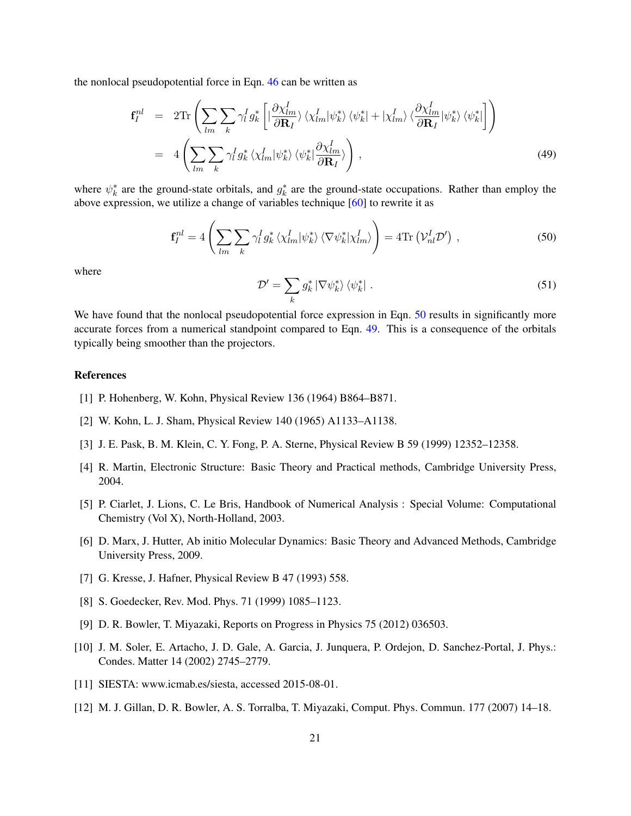the nonlocal pseudopotential force in Eqn. 46 can be written as

$$
\mathbf{f}_{I}^{nl} = 2 \text{Tr} \left( \sum_{lm} \sum_{k} \gamma_{l}^{I} g_{k}^{*} \left[ \left| \frac{\partial \chi_{lm}^{I}}{\partial \mathbf{R}_{I}} \right\rangle \langle \chi_{lm}^{I} | \psi_{k}^{*} \rangle \langle \psi_{k}^{*} | + |\chi_{lm}^{I} \rangle \langle \frac{\partial \chi_{lm}^{I}}{\partial \mathbf{R}_{I}} | \psi_{k}^{*} \rangle \langle \psi_{k}^{*} | \right] \right)
$$
\n
$$
= 4 \left( \sum_{lm} \sum_{k} \gamma_{l}^{I} g_{k}^{*} \langle \chi_{lm}^{I} | \psi_{k}^{*} \rangle \langle \psi_{k}^{*} | \frac{\partial \chi_{lm}^{I}}{\partial \mathbf{R}_{I}} \rangle \right), \tag{49}
$$

where  $\psi_k^*$  $\stackrel{*}{\phantom{*}}_k$  are the ground-state orbitals, and  $g_k^*$  $\stackrel{*}{\phantom{*}}_k$  are the ground-state occupations. Rather than employ the above expression, we utilize a change of variables technique [60] to rewrite it as

$$
\mathbf{f}_I^{nl} = 4 \left( \sum_{lm} \sum_k \gamma_l^I g_k^* \langle \chi_{lm}^I | \psi_k^* \rangle \langle \nabla \psi_k^* | \chi_{lm}^I \rangle \right) = 4 \text{Tr} \left( \mathcal{V}_{nl}^I \mathcal{D}' \right) , \qquad (50)
$$

where

$$
\mathcal{D}' = \sum_{k} g_k^* \left| \nabla \psi_k^* \right\rangle \left\langle \psi_k^* \right| \,. \tag{51}
$$

We have found that the nonlocal pseudopotential force expression in Eqn. 50 results in significantly more accurate forces from a numerical standpoint compared to Eqn. 49. This is a consequence of the orbitals typically being smoother than the projectors.

## References

- [1] P. Hohenberg, W. Kohn, Physical Review 136 (1964) B864–B871.
- [2] W. Kohn, L. J. Sham, Physical Review 140 (1965) A1133–A1138.
- [3] J. E. Pask, B. M. Klein, C. Y. Fong, P. A. Sterne, Physical Review B 59 (1999) 12352–12358.
- [4] R. Martin, Electronic Structure: Basic Theory and Practical methods, Cambridge University Press, 2004.
- [5] P. Ciarlet, J. Lions, C. Le Bris, Handbook of Numerical Analysis : Special Volume: Computational Chemistry (Vol X), North-Holland, 2003.
- [6] D. Marx, J. Hutter, Ab initio Molecular Dynamics: Basic Theory and Advanced Methods, Cambridge University Press, 2009.
- [7] G. Kresse, J. Hafner, Physical Review B 47 (1993) 558.
- [8] S. Goedecker, Rev. Mod. Phys. 71 (1999) 1085–1123.
- [9] D. R. Bowler, T. Miyazaki, Reports on Progress in Physics 75 (2012) 036503.
- [10] J. M. Soler, E. Artacho, J. D. Gale, A. Garcia, J. Junquera, P. Ordejon, D. Sanchez-Portal, J. Phys.: Condes. Matter 14 (2002) 2745–2779.
- [11] SIESTA: www.icmab.es/siesta, accessed 2015-08-01.
- [12] M. J. Gillan, D. R. Bowler, A. S. Torralba, T. Miyazaki, Comput. Phys. Commun. 177 (2007) 14–18.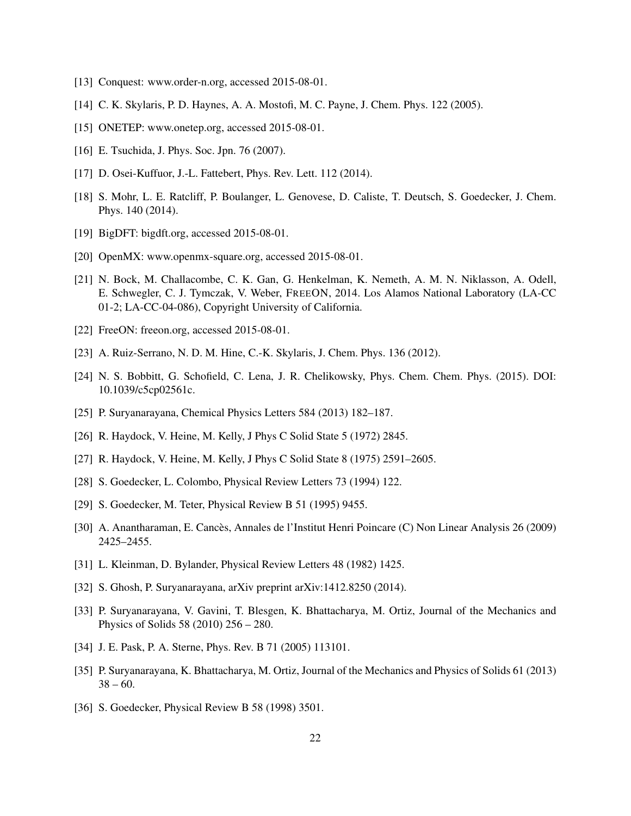- [13] Conquest: www.order-n.org, accessed 2015-08-01.
- [14] C. K. Skylaris, P. D. Haynes, A. A. Mostofi, M. C. Payne, J. Chem. Phys. 122 (2005).
- [15] ONETEP: www.onetep.org, accessed 2015-08-01.
- [16] E. Tsuchida, J. Phys. Soc. Jpn. 76 (2007).
- [17] D. Osei-Kuffuor, J.-L. Fattebert, Phys. Rev. Lett. 112 (2014).
- [18] S. Mohr, L. E. Ratcliff, P. Boulanger, L. Genovese, D. Caliste, T. Deutsch, S. Goedecker, J. Chem. Phys. 140 (2014).
- [19] BigDFT: bigdft.org, accessed 2015-08-01.
- [20] OpenMX: www.openmx-square.org, accessed 2015-08-01.
- [21] N. Bock, M. Challacombe, C. K. Gan, G. Henkelman, K. Nemeth, A. M. N. Niklasson, A. Odell, E. Schwegler, C. J. Tymczak, V. Weber, FREEON, 2014. Los Alamos National Laboratory (LA-CC 01-2; LA-CC-04-086), Copyright University of California.
- [22] FreeON: freeon.org, accessed 2015-08-01.
- [23] A. Ruiz-Serrano, N. D. M. Hine, C.-K. Skylaris, J. Chem. Phys. 136 (2012).
- [24] N. S. Bobbitt, G. Schofield, C. Lena, J. R. Chelikowsky, Phys. Chem. Chem. Phys. (2015). DOI: 10.1039/c5cp02561c.
- [25] P. Suryanarayana, Chemical Physics Letters 584 (2013) 182-187.
- [26] R. Haydock, V. Heine, M. Kelly, J Phys C Solid State 5 (1972) 2845.
- [27] R. Haydock, V. Heine, M. Kelly, J Phys C Solid State 8 (1975) 2591–2605.
- [28] S. Goedecker, L. Colombo, Physical Review Letters 73 (1994) 122.
- [29] S. Goedecker, M. Teter, Physical Review B 51 (1995) 9455.
- [30] A. Anantharaman, E. Cancès, Annales de l'Institut Henri Poincare (C) Non Linear Analysis 26 (2009) 2425–2455.
- [31] L. Kleinman, D. Bylander, Physical Review Letters 48 (1982) 1425.
- [32] S. Ghosh, P. Suryanarayana, arXiv preprint arXiv:1412.8250 (2014).
- [33] P. Suryanarayana, V. Gavini, T. Blesgen, K. Bhattacharya, M. Ortiz, Journal of the Mechanics and Physics of Solids 58 (2010) 256 – 280.
- [34] J. E. Pask, P. A. Sterne, Phys. Rev. B 71 (2005) 113101.
- [35] P. Suryanarayana, K. Bhattacharya, M. Ortiz, Journal of the Mechanics and Physics of Solids 61 (2013)  $38 - 60.$
- [36] S. Goedecker, Physical Review B 58 (1998) 3501.